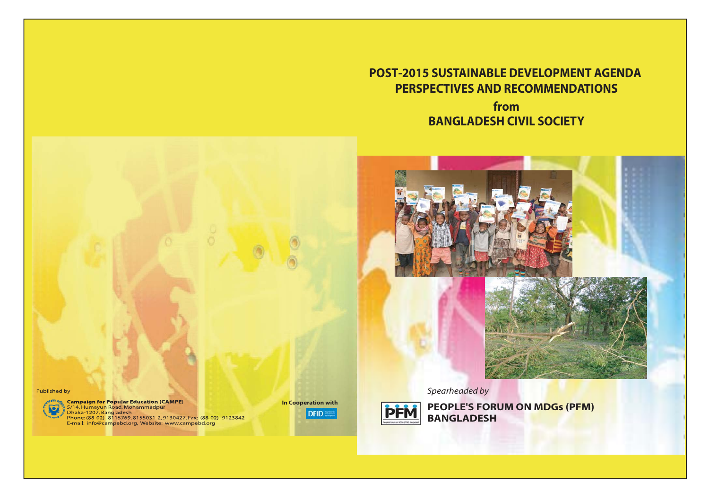**POST-2015 SUSTAINABLE DEVELOPMENT AGENDAPERSPECTIVES AND RECOMMENDATIONSfromBANGLADESH CIVIL SOCIETY**



*Spearheaded by*



**PEOPLE'S FORUM ON MDGs (PFM) BANGLADESH**

Published by



**Campaign for Popular Education (CAMPE)**<br><sup>5</sup> 5/14, Humayun Road, Mohammadpur<br><sup>5</sup> Dhaka-1207, Bangladesh<br>Phone: (88-02)- 8115769, 8155031-2, 9130427, Fax: (88-02)- 9123842<br>E-mail: info@campebd.org, Website: www.campebd.org

**In Cooperation withDFID**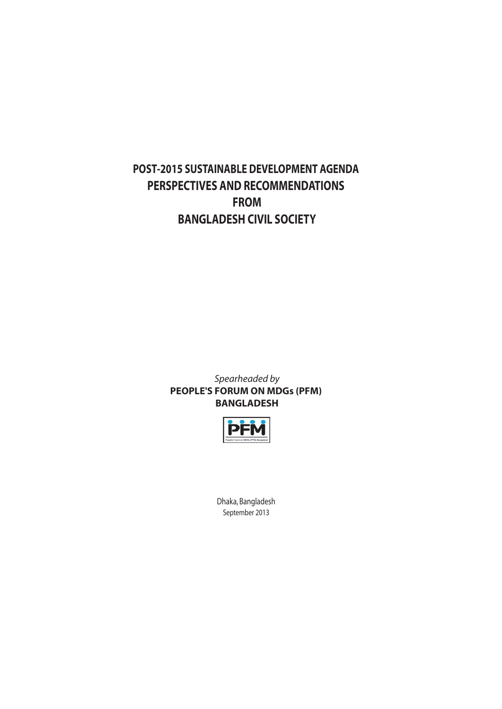# **POST-2015 SUSTAINABLE DEVELOPMENT AGENDA PERSPECTIVES AND RECOMMENDATIONS FROM BANGLADESH CIVIL SOCIETY**

*Spearheaded by* **PEOPLE'S FORUM ON MDGs (PFM) BANGLADESH**



Dhaka, Bangladesh September 2013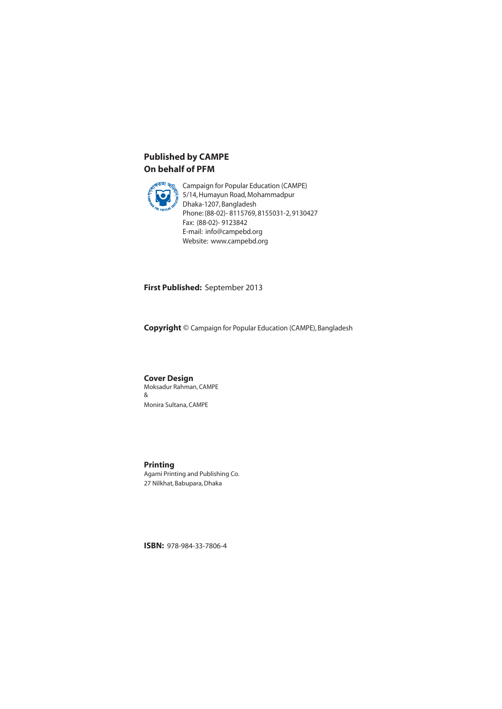### **Published by CAMPE On behalf of PFM**



Campaign for Popular Education (CAMPE)<br>5/14, Humayun Road, Mohammadpur 5/14, Humayun Road, Mohammadpur Dhaka-1207, Bangladesh Phone: (88-02)- 8115769, 8155031-2, 9130427 Fax: (88-02)- 9123842 E-mail: info@campebd.org Website: www.campebd.org

**First Published:** September 2013

**Copyright** © Campaign for Popular Education (CAMPE), Bangladesh

**Cover Design** Moksadur Rahman, CAMPE & Monira Sultana, CAMPE

**Printing** Agami Printing and Publishing Co. 27 Nilkhat, Babupara, Dhaka

**ISBN:** 978-984-33-7806-4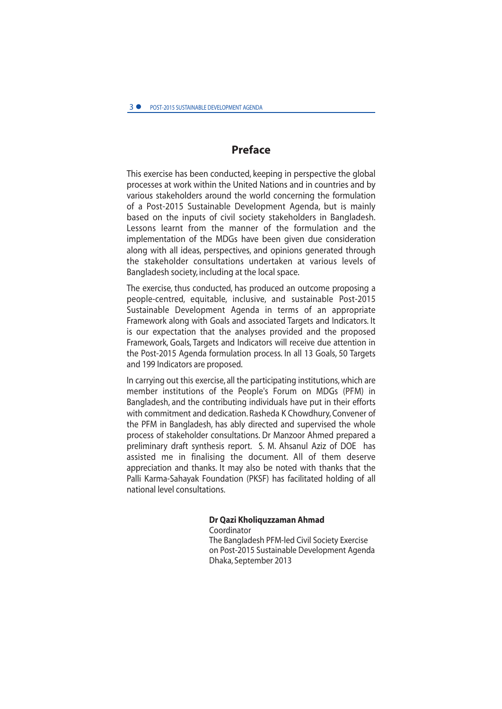# **Preface**

This exercise has been conducted, keeping in perspective the global processes at work within the United Nations and in countries and by various stakeholders around the world concerning the formulation of a Post-2015 Sustainable Development Agenda, but is mainly based on the inputs of civil society stakeholders in Bangladesh. Lessons learnt from the manner of the formulation and the implementation of the MDGs have been given due consideration along with all ideas, perspectives, and opinions generated through the stakeholder consultations undertaken at various levels of Bangladesh society, including at the local space.

The exercise, thus conducted, has produced an outcome proposing a people-centred, equitable, inclusive, and sustainable Post-2015 Sustainable Development Agenda in terms of an appropriate Framework along with Goals and associated Targets and Indicators. It is our expectation that the analyses provided and the proposed Framework, Goals, Targets and Indicators will receive due attention in the Post-2015 Agenda formulation process. In all 13 Goals, 50 Targets and 199 Indicators are proposed.

In carrying out this exercise, all the participating institutions, which are member institutions of the People's Forum on MDGs (PFM) in Bangladesh, and the contributing individuals have put in their efforts with commitment and dedication. Rasheda K Chowdhury, Convener of the PFM in Bangladesh, has ably directed and supervised the whole process of stakeholder consultations. Dr Manzoor Ahmed prepared a preliminary draft synthesis report. S. M. Ahsanul Aziz of DOE has assisted me in finalising the document. All of them deserve appreciation and thanks. It may also be noted with thanks that the Palli Karma-Sahayak Foundation (PKSF) has facilitated holding of all national level consultations.

# **Dr Qazi Kholiquzzaman Ahmad**

Coordinator The Bangladesh PFM-led Civil Society Exercise on Post-2015 Sustainable Development Agenda Dhaka, September 2013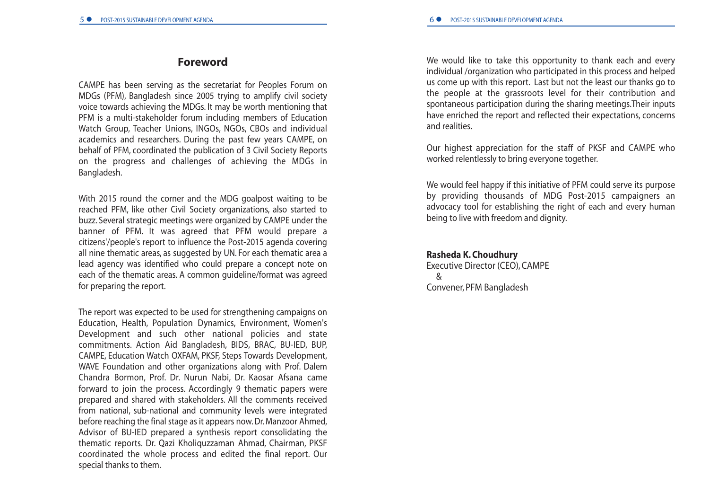### **Foreword**

CAMPE has been serving as the secretariat for Peoples Forum on MDGs (PFM), Bangladesh since 2005 trying to amplify civil society voice towards achieving the MDGs. It may be worth mentioning that PFM is <sup>a</sup> multi-stakeholder forum including members of Education Watch Group, Teacher Unions, INGOs, NGOs, CBOs and individual academics and researchers. During the past few years CAMPE, on behalf of PFM, coordinated the publication of 3 Civil Society Reports on the progress and challenges of achieving the MDGs in Bangladesh.

With 2015 round the corner and the MDG goalpost waiting to be reached PFM, like other Civil Society organizations, also started to buzz. Several strategic meetings were organized by CAMPE under the banner of PFM. It was agreed that PFM would prepare <sup>a</sup> citizens'/people's report to influence the Post-2015 agenda covering all nine thematic areas, as suggested by UN. For each thematic area <sup>a</sup> lead agency was identified who could prepare <sup>a</sup> concept note on each of the thematic areas. A common guideline/format was agreed for preparing the report.

The report was expected to be used for strengthening campaigns on Education, Health, Population Dynamics, Environment, Women's Development and such other national policies and state commitments. Action Aid Bangladesh, BIDS, BRAC, BU-IED, BUP, CAMPE, Education Watch OXFAM, PKSF, Steps Towards Development, WAVE Foundation and other organizations along with Prof. Dalem Chandra Bormon, Prof. Dr. Nurun Nabi, Dr. Kaosar Afsana came forward to join the process. Accordingly 9 thematic papers were prepared and shared with stakeholders. All the comments received from national, sub-national and community levels were integrated before reaching the final stage as it appears now. Dr. Manzoor Ahmed, Advisor of BU-IED prepared <sup>a</sup> synthesis report consolidating the thematic reports. Dr. Qazi Kholiquzzaman Ahmad, Chairman, PKSF coordinated the whole process and edited the final report. Our special thanks to them.

We would like to take this opportunity to thank each and every individual /organization who participated in this process and helped us come up with this report. Last but not the least our thanks go to the people at the grassroots level for their contribution and spontaneous participation during the sharing meetings.Their inputs have enriched the report and reflected their expectations, concerns and realities.

Our highest appreciation for the staff of PKSF and CAMPE who worked relentlessly to bring everyone together.

We would feel happy if this initiative of PFM could serve its purpose by providing thousands of MDG Post-2015 campaigners an advocacy tool for establishing the right of each and every human being to live with freedom and dignity.

#### **Rasheda K. Choudhury**

Executive Director (CEO), CAMPE &Convener, PFM Bangladesh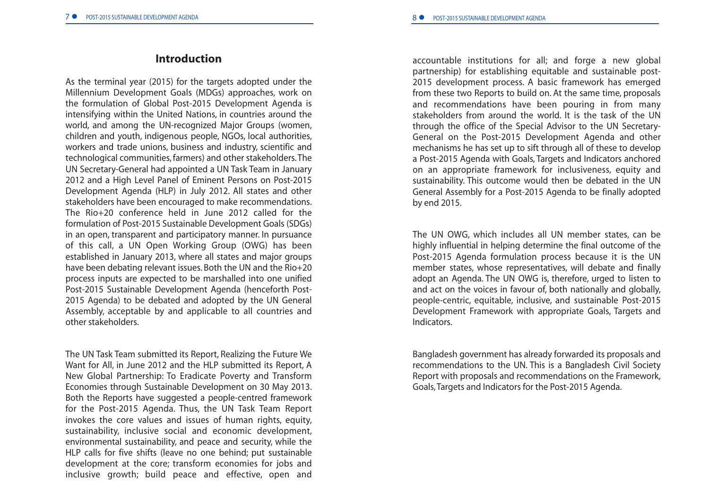#### **Introduction**

As the terminal year (2015) for the targets adopted under the Millennium Development Goals (MDGs) approaches, work on the formulation of Global Post-2015 Development Agenda is intensifying within the United Nations, in countries around the world, and among the UN-recognized Major Groups (women, children and youth, indigenous people, NGOs, local authorities, workers and trade unions, business and industry, scientific and technological communities, farmers) and other stakeholders.The UN Secretary-General had appointed <sup>a</sup> UN Task Team in January 2012 and <sup>a</sup> High Level Panel of Eminent Persons on Post-2015 Development Agenda (HLP) in July 2012. All states and other stakeholders have been encouraged to make recommendations. The Rio+20 conference held in June 2012 called for theformulation of Post-2015 Sustainable Development Goals (SDGs) in an open, transparent and participatory manner. In pursuance of this call, <sup>a</sup> UN Open Working Group (OWG) has been established in January 2013, where all states and major groups have been debating relevant issues. Both the UN and the Rio+20 process inputs are expected to be marshalled into one unified Post-2015 Sustainable Development Agenda (henceforth Post-2015 Agenda) to be debated and adopted by the UN General Assembly, acceptable by and applicable to all countries and other stakeholders.

The UN Task Team submitted its Report, Realizing the Future We Want for All, in June 2012 and the HLP submitted its Report, A New Global Partnership: To Eradicate Poverty and Transform Economies through Sustainable Development on 30 May 2013. Both the Reports have suggested <sup>a</sup> people-centred framework for the Post-2015 Agenda. Thus, the UN Task Team Report invokes the core values and issues of human rights, equity, sustainability, inclusive social and economic development, environmental sustainability, and peace and security, while the HLP calls for five shifts (leave no one behind; put sustainable development at the core; transform economies for jobs and inclusive growth; build peace and effective, open and

accountable institutions for all; and forge <sup>a</sup> new global partnership) for establishing equitable and sustainable post-2015 development process. A basic framework has emerged from these two Reports to build on. At the same time, proposals and recommendations have been pouring in from many stakeholders from around the world. It is the task of the UNthrough the office of the Special Advisor to the UN Secretary-General on the Post-2015 Development Agenda and other mechanisms he has set up to sift through all of these to develop <sup>a</sup> Post-2015 Agenda with Goals, Targets and Indicators anchored on an appropriate framework for inclusiveness, equity and sustainability. This outcome would then be debated in the UN General Assembly for <sup>a</sup> Post-2015 Agenda to be finally adopted by end 2015.

The UN OWG, which includes all UN member states, can be highly influential in helping determine the final outcome of the Post-2015 Agenda formulation process because it is the UN member states, whose representatives, will debate and finally adopt an Agenda. The UN OWG is, therefore, urged to listen to and act on the voices in favour of, both nationally and globally, people-centric, equitable, inclusive, and sustainable Post-2015 Development Framework with appropriate Goals, Targets and Indicators.

Bangladesh government has already forwarded its proposals and recommendations to the UN. This is <sup>a</sup> Bangladesh Civil Society Report with proposals and recommendations on the Framework, Goals,Targets and Indicators for the Post-2015 Agenda.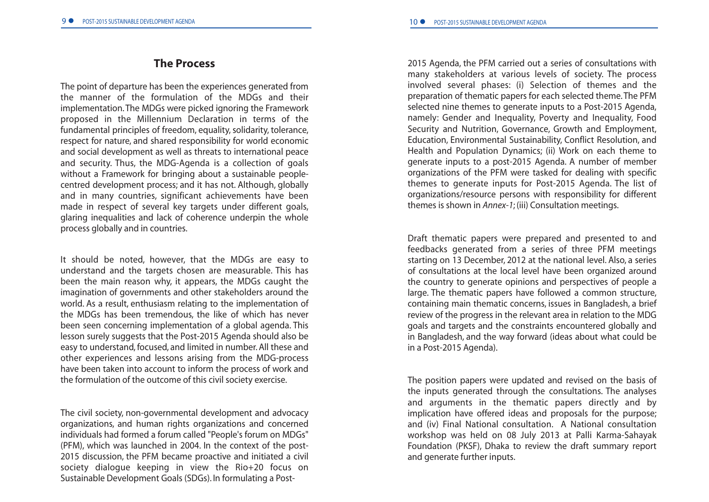### **The Process**

The point of departure has been the experiences generated from the manner of the formulation of the MDGs and theirimplementation.The MDGs were picked ignoring the Framework proposed in the Millennium Declaration in terms of the fundamental principles of freedom, equality, solidarity, tolerance, respect for nature, and shared responsibility for world economic and social development as well as threats to international peace and security. Thus, the MDG-Agenda is <sup>a</sup> collection of goals without <sup>a</sup> Framework for bringing about <sup>a</sup> sustainable peoplecentred development process; and it has not. Although, globally and in many countries, significant achievements have been made in respect of several key targets under different goals, glaring inequalities and lack of coherence underpin the whole process globally and in countries.

It should be noted, however, that the MDGs are easy to understand and the targets chosen are measurable. This has been the main reason why, it appears, the MDGs caught the imagination of governments and other stakeholders around the world. As <sup>a</sup> result, enthusiasm relating to the implementation of the MDGs has been tremendous, the like of which has never been seen concerning implementation of <sup>a</sup> global agenda. This lesson surely suggests that the Post-2015 Agenda should also be easy to understand, focused, and limited in number. All these and other experiences and lessons arising from the MDG-process have been taken into account to inform the process of work and the formulation of the outcome of this civil society exercise.

The civil society, non-governmental development and advocacy organizations, and human rights organizations and concerned individuals had formed <sup>a</sup> forum called "People's forum on MDGs" (PFM), which was launched in 2004. In the context of the post-2015 discussion, the PFM became proactive and initiated <sup>a</sup> civil society dialogue keeping in view the Rio+20 focus on Sustainable Development Goals (SDGs). In formulating <sup>a</sup> Post2015 Agenda, the PFM carried out <sup>a</sup> series of consultations with many stakeholders at various levels of society. The process involved several phases: (i) Selection of themes and the preparation of thematic papers for each selected theme.The PFM selected nine themes to generate inputs to <sup>a</sup> Post-2015 Agenda, namely: Gender and Inequality, Poverty and Inequality, Food Security and Nutrition, Governance, Growth and Employment, Education, Environmental Sustainability, Conflict Resolution, and Health and Population Dynamics; (ii) Work on each theme to generate inputs to <sup>a</sup> post-2015 Agenda. A number of member organizations of the PFM were tasked for dealing with specific themes to generate inputs for Post-2015 Agenda. The list of organizations/resource persons with responsibility for different themes is shown in *Annex-1*; (iii) Consultation meetings.

Draft thematic papers were prepared and presented to and feedbacks generated from <sup>a</sup> series of three PFM meetings starting on 13 December, 2012 at the national level. Also, <sup>a</sup> series of consultations at the local level have been organized around the country to generate opinions and perspectives of people <sup>a</sup> large. The thematic papers have followed <sup>a</sup> common structure, containing main thematic concerns, issues in Bangladesh, <sup>a</sup> brief review of the progress in the relevant area in relation to the MDG goals and targets and the constraints encountered globally and in Bangladesh, and the way forward (ideas about what could be in <sup>a</sup> Post-2015 Agenda).

The position papers were updated and revised on the basis of the inputs generated through the consultations. The analyses and arguments in the thematic papers directly and by implication have offered ideas and proposals for the purpose; and (iv) Final National consultation. A National consultation workshop was held on 08 July 2013 at Palli Karma-Sahayak Foundation (PKSF), Dhaka to review the draft summary report and generate further inputs.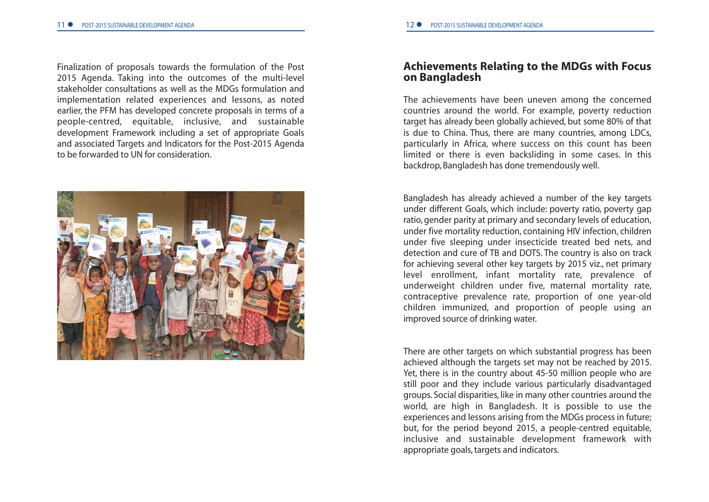Finalization of proposals towards the formulation of the Post 2015 Agenda. Taking into the outcomes of the multi-level stakeholder consultations as well as the MDGs formulation andimplementation related experiences and lessons, as noted earlier, the PFM has developed concrete proposals in terms of <sup>a</sup> people-centred, equitable, inclusive, and sustainable development Framework including <sup>a</sup> set of appropriate Goals and associated Targets and Indicators for the Post-2015 Agenda to be forwarded to UN for consideration.



### **Achievements Relating to the MDGs with Focus on Bangladesh**

The achievements have been uneven among the concerned countries around the world. For example, poverty reduction target has already been globally achieved, but some 80% of that is due to China. Thus, there are many countries, among LDCs, particularly in Africa, where success on this count has been limited or there is even backsliding in some cases. In this backdrop, Bangladesh has done tremendously well.

Bangladesh has already achieved <sup>a</sup> number of the key targets under different Goals, which include: poverty ratio, poverty gap ratio, gender parity at primary and secondary levels of education, under five mortality reduction, containing HIV infection, children under five sleeping under insecticide treated bed nets, and detection and cure of TB and DOTS. The country is also on track for achieving several other key targets by 2015 viz., net primary level enrollment, infant mortality rate, prevalence of underweight children under five, maternal mortality rate, contraceptive prevalence rate, proportion of one year-old children immunized, and proportion of people using an improved source of drinking water.

There are other targets on which substantial progress has been achieved although the targets set may not be reached by 2015. Yet, there is in the country about 45-50 million people who are still poor and they include various particularly disadvantaged groups. Social disparities, like in many other countries around the world, are high in Bangladesh. It is possible to use the experiences and lessons arising from the MDGs process in future; but, for the period beyond 2015, <sup>a</sup> people-centred equitable, inclusive and sustainable development framework with appropriate goals, targets and indicators.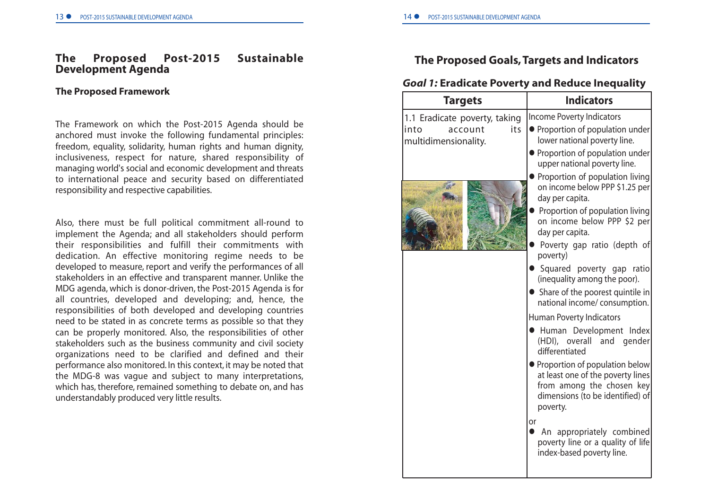#### **The Proposed Post-2015 Sustainable Development Agenda**

#### **The Proposed Framework**

The Framework on which the Post-2015 Agenda should be anchored must invoke the following fundamental principles: freedom, equality, solidarity, human rights and human dignity, inclusiveness, respect for nature, shared responsibility of managing world's social and economic development and threats to international peace and security based on differentiated responsibility and respective capabilities.

Also, there must be full political commitment all-round to implement the Agenda; and all stakeholders should perform their responsibilities and fulfill their commitments with dedication. An effective monitoring regime needs to be developed to measure, report and verify the performances of all stakeholders in an effective and transparent manner. Unlike the MDG agenda, which is donor-driven, the Post-2015 Agenda is for all countries, developed and developing; and, hence, the responsibilities of both developed and developing countries need to be stated in as concrete terms as possible so that they can be properly monitored. Also, the responsibilities of other stakeholders such as the business community and civil society organizations need to be clarified and defined and their performance also monitored. In this context, it may be noted that the MDG-8 was vague and subject to many interpretations, which has, therefore, remained something to debate on, and has understandably produced very little results.

# **The Proposed Goals,Targets and Indicators**

#### *Goal 1:* **Eradicate Poverty and Reduce Inequality**

| <b>Targets</b>                                 | <b>Indicators</b>                                                                                                                                  |
|------------------------------------------------|----------------------------------------------------------------------------------------------------------------------------------------------------|
| 1.1 Eradicate poverty, taking                  | <b>Income Poverty Indicators</b>                                                                                                                   |
| its<br>into<br>account<br>multidimensionality. | • Proportion of population under<br>lower national poverty line.                                                                                   |
|                                                | • Proportion of population under<br>upper national poverty line.                                                                                   |
|                                                | Proportion of population living<br>on income below PPP \$1.25 per<br>day per capita.                                                               |
|                                                | Proportion of population living<br>on income below PPP \$2 per<br>day per capita.                                                                  |
|                                                | Poverty gap ratio (depth of<br>poverty)                                                                                                            |
|                                                | Squared poverty gap ratio<br>(inequality among the poor).                                                                                          |
|                                                | Share of the poorest quintile in<br>national income/ consumption.                                                                                  |
|                                                | Human Poverty Indicators                                                                                                                           |
|                                                | Human Development Index<br>(HDI), overall and gender<br>differentiated                                                                             |
|                                                | • Proportion of population below<br>at least one of the poverty lines<br>from among the chosen key<br>dimensions (to be identified) of<br>poverty. |
|                                                | or<br>An appropriately combined<br>poverty line or a quality of life<br>index-based poverty line.                                                  |
|                                                |                                                                                                                                                    |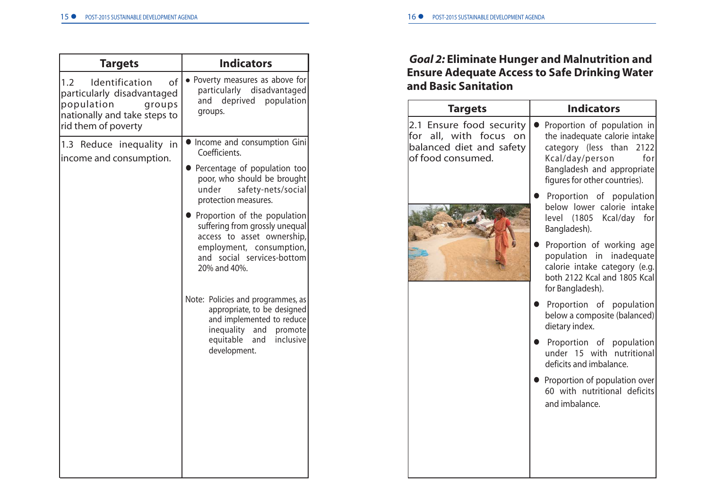| <b>Indicators</b><br>• Poverty measures as above for<br>particularly disadvantaged                                                                                             |
|--------------------------------------------------------------------------------------------------------------------------------------------------------------------------------|
|                                                                                                                                                                                |
| deprived<br>population<br>and<br>groups.                                                                                                                                       |
| • Income and consumption Gini<br>Coefficients.                                                                                                                                 |
| Percentage of population too<br>poor, who should be brought<br>safety-nets/social<br>under<br>protection measures.                                                             |
| Proportion of the population<br>suffering from grossly unequal<br>access to asset ownership,<br>employment, consumption,<br>and social services-bottom<br>20% and 40%.         |
| Note: Policies and programmes, as<br>appropriate, to be designed<br>and implemented to reduce<br>inequality<br>and<br>promote<br>equitable<br>inclusive<br>and<br>development. |
|                                                                                                                                                                                |
|                                                                                                                                                                                |
|                                                                                                                                                                                |
|                                                                                                                                                                                |

# *Goal 2:* **Eliminate Hunger and Malnutrition and Ensure Adequate Access to Safe Drinking Water and Basic Sanitation**

| <b>Targets</b>                                                                                         | <b>Indicators</b>                                                                                                                                                                    |
|--------------------------------------------------------------------------------------------------------|--------------------------------------------------------------------------------------------------------------------------------------------------------------------------------------|
| 2.1 Ensure food security<br>for all, with focus<br>on<br>balanced diet and safety<br>of food consumed. | Proportion of population in<br>the inadequate calorie intake<br>category (less than<br>2122<br>Kcal/day/person<br>for<br>Bangladesh and appropriate<br>figures for other countries). |
|                                                                                                        | Proportion of population<br>below lower calorie intake<br>level (1805 Kcal/day for<br>Bangladesh).                                                                                   |
|                                                                                                        | Proportion of working age<br>population in inadequate<br>calorie intake category (e.g.<br>both 2122 Kcal and 1805 Kcal<br>for Bangladesh).                                           |
|                                                                                                        | Proportion of population<br>below a composite (balanced)<br>dietary index.                                                                                                           |
|                                                                                                        | Proportion of population<br>under 15 with nutritional<br>deficits and imbalance.                                                                                                     |
|                                                                                                        | Proportion of population over<br>60 with nutritional deficits<br>and imbalance.                                                                                                      |
|                                                                                                        |                                                                                                                                                                                      |
|                                                                                                        |                                                                                                                                                                                      |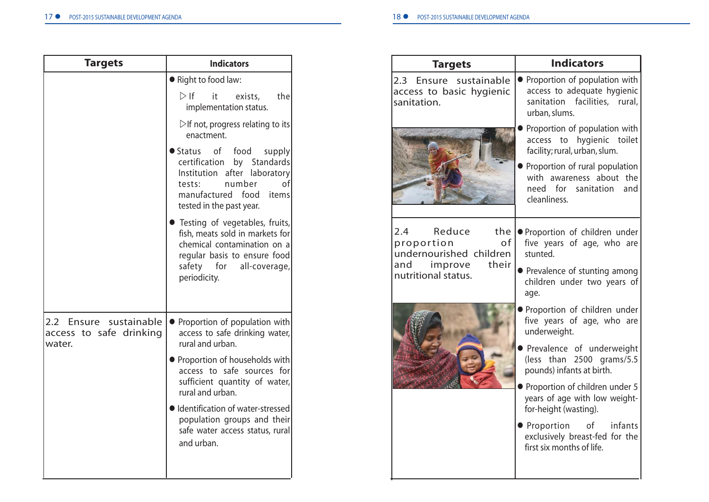| <b>Targets</b>                                              | <b>Indicators</b>                                                                                                                                                                 |
|-------------------------------------------------------------|-----------------------------------------------------------------------------------------------------------------------------------------------------------------------------------|
|                                                             | Right to food law:                                                                                                                                                                |
|                                                             | $\triangleright$ If<br>it<br>exists,<br>the<br>implementation status.                                                                                                             |
|                                                             | $\triangleright$ If not, progress relating to its<br>enactment.                                                                                                                   |
|                                                             | ● Status of<br>food<br>supply<br>certification<br>by Standards<br>after laboratory<br>Institution<br>number<br>tests:<br>manufactured food<br>items<br>tested in the past year.   |
|                                                             | • Testing of vegetables, fruits,<br>fish, meats sold in markets for<br>chemical contamination on a<br>regular basis to ensure food<br>safety for<br>all-coverage,<br>periodicity. |
| 2.2 Ensure sustainable<br>access to safe drinking<br>water. | Proportion of population with<br>$\bullet$<br>access to safe drinking water,<br>rural and urban.                                                                                  |
|                                                             | • Proportion of households with<br>access to safe sources for<br>sufficient quantity of water,<br>rural and urban.                                                                |
|                                                             | · Identification of water-stressed<br>population groups and their<br>safe water access status, rural<br>and urban.                                                                |
|                                                             |                                                                                                                                                                                   |

| <b>Targets</b>                                                                                                               | <b>Indicators</b>                                                                                                                                                                                                                                                                                                                                              |
|------------------------------------------------------------------------------------------------------------------------------|----------------------------------------------------------------------------------------------------------------------------------------------------------------------------------------------------------------------------------------------------------------------------------------------------------------------------------------------------------------|
| 2.3 Ensure sustainable<br>access to basic hygienic<br>sanitation.                                                            | • Proportion of population with<br>access to adequate hygienic<br>sanitation facilities, rural,<br>urban, slums.                                                                                                                                                                                                                                               |
|                                                                                                                              | Proportion of population with<br>access to hygienic toilet<br>facility; rural, urban, slum.<br>Proportion of rural population<br>with awareness about the<br>need for sanitation<br>and<br>cleanliness.                                                                                                                                                        |
| Reduce<br>the<br>$2.4^{\circ}$<br>of<br>proportion<br>undernourished children<br>their<br>and improve<br>nutritional status. | ● Proportion of children under<br>five years of age, who are<br>stunted.<br>• Prevalence of stunting among<br>children under two years of<br>age.                                                                                                                                                                                                              |
|                                                                                                                              | · Proportion of children under<br>five years of age, who are<br>underweight.<br>Prevalence of underweight<br>(less than 2500 grams/5.5<br>pounds) infants at birth.<br>• Proportion of children under 5<br>years of age with low weight-<br>for-height (wasting).<br>of infants<br>● Proportion<br>exclusively breast-fed for the<br>first six months of life. |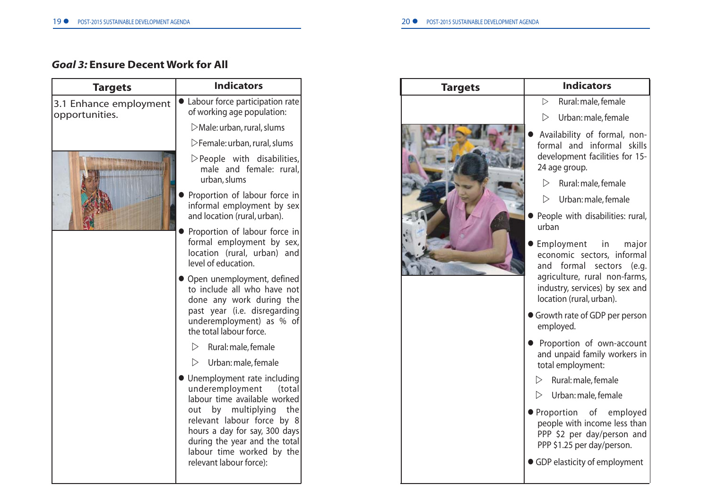# *Goal 3:* **Ensure Decent Work for All**

| <b>Targets</b>                           | <b>Indicators</b>                                                                                                                                                                                                                                                               |
|------------------------------------------|---------------------------------------------------------------------------------------------------------------------------------------------------------------------------------------------------------------------------------------------------------------------------------|
| 3.1 Enhance employment<br>opportunities. | • Labour force participation rate<br>of working age population:                                                                                                                                                                                                                 |
|                                          | $\triangleright$ Male: urban, rural, slums                                                                                                                                                                                                                                      |
|                                          | $\triangleright$ Female: urban, rural, slums                                                                                                                                                                                                                                    |
|                                          | $\triangleright$ People with disabilities,<br>male and female: rural,<br>urban, slums                                                                                                                                                                                           |
|                                          | Proportion of labour force in<br>informal employment by sex<br>and location (rural, urban).                                                                                                                                                                                     |
|                                          | Proportion of labour force in<br>formal employment by sex,<br>location (rural, urban) and<br>level of education.                                                                                                                                                                |
|                                          | • Open unemployment, defined<br>to include all who have not<br>done any work during the<br>past year (i.e. disregarding<br>underemployment) as % of<br>the total labour force.                                                                                                  |
|                                          | $\triangleright$ Rural: male, female                                                                                                                                                                                                                                            |
|                                          | Urban: male, female<br>▷                                                                                                                                                                                                                                                        |
|                                          | • Unemployment rate including<br>underemployment (total<br>labour time available worked<br>by multiplying<br>the<br>out<br>relevant labour force by 8<br>hours a day for say, 300 days<br>during the year and the total<br>labour time worked by the<br>relevant labour force): |

| <b>Targets</b> | <b>Indicators</b>                                                                                                                                                                  |
|----------------|------------------------------------------------------------------------------------------------------------------------------------------------------------------------------------|
|                | Rural: male, female<br>$\triangleright$                                                                                                                                            |
|                | $\triangleright$<br>Urban: male, female                                                                                                                                            |
|                | Availability of formal, non-<br>formal and informal skills<br>development facilities for 15-<br>24 age group.                                                                      |
|                | Rural: male, female<br>$\triangleright$                                                                                                                                            |
|                | ▷<br>Urban: male, female                                                                                                                                                           |
|                | People with disabilities: rural,<br>urban                                                                                                                                          |
|                | Employment in<br>major<br>economic sectors, informal<br>and formal sectors<br>(e.g.<br>agriculture, rural non-farms,<br>industry, services) by sex and<br>location (rural, urban). |
|                | Growth rate of GDP per person<br>employed.                                                                                                                                         |
|                | Proportion of own-account<br>and unpaid family workers in<br>total employment:                                                                                                     |
|                | Rural: male, female<br>$\triangleright$                                                                                                                                            |
|                | ▷<br>Urban: male, female                                                                                                                                                           |
|                | Proportion of employed<br>people with income less than<br>PPP \$2 per day/person and<br>PPP \$1.25 per day/person.                                                                 |
|                | GDP elasticity of employment                                                                                                                                                       |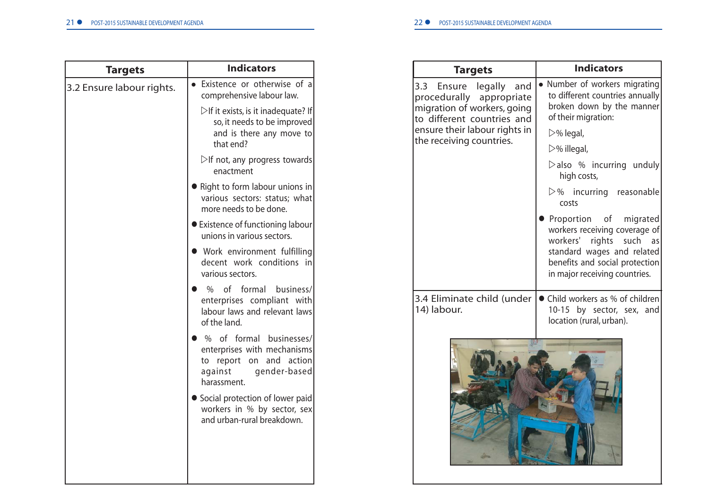| <b>Targets</b>            | <b>Indicators</b>                                                                                                                    |
|---------------------------|--------------------------------------------------------------------------------------------------------------------------------------|
| 3.2 Ensure labour rights. | Existence or otherwise of a<br>comprehensive labour law.                                                                             |
|                           | $\triangleright$ If it exists, is it inadequate? If<br>so, it needs to be improved<br>and is there any move to<br>that end?          |
|                           | $\triangleright$ If not, any progress towards<br>enactment                                                                           |
|                           | Right to form labour unions in<br>various sectors: status; what<br>more needs to be done.                                            |
|                           | <b>•</b> Existence of functioning labour<br>unions in various sectors.                                                               |
|                           | • Work environment fulfilling<br>decent work conditions in<br>various sectors.                                                       |
|                           | of formal<br>business/<br>$\%$<br>enterprises compliant with<br>labour laws and relevant laws<br>of the land.                        |
|                           | % of formal businesses/<br>enterprises with mechanisms<br>and<br>action<br>report on<br>to<br>against<br>gender-based<br>harassment. |
|                           | • Social protection of lower paid<br>workers in % by sector, sex<br>and urban-rural breakdown.                                       |
|                           |                                                                                                                                      |
|                           |                                                                                                                                      |

| <b>Targets</b>                                                                                                        | <b>Indicators</b>                                                                                                                                                                            |
|-----------------------------------------------------------------------------------------------------------------------|----------------------------------------------------------------------------------------------------------------------------------------------------------------------------------------------|
| 3.3 Ensure<br>legally<br>and<br>procedurally appropriate<br>migration of workers, going<br>to different countries and | Number of workers migrating<br>to different countries annually<br>broken down by the manner<br>of their migration:                                                                           |
| ensure their labour rights in                                                                                         | $\triangleright$ % legal,                                                                                                                                                                    |
| the receiving countries.                                                                                              | $\triangleright$ % illegal,                                                                                                                                                                  |
|                                                                                                                       | $\triangleright$ also % incurring unduly<br>high costs,                                                                                                                                      |
|                                                                                                                       | $\triangleright$ % incurring reasonable<br>costs                                                                                                                                             |
|                                                                                                                       | Proportion of migrated<br>workers receiving coverage of<br>workers'<br>rights<br>such<br>as<br>standard wages and related<br>benefits and social protection<br>in major receiving countries. |
| 3.4 Eliminate child (under<br>14) labour.                                                                             | Child workers as % of children<br>10-15 by sector, sex, and<br>location (rural, urban).                                                                                                      |
|                                                                                                                       |                                                                                                                                                                                              |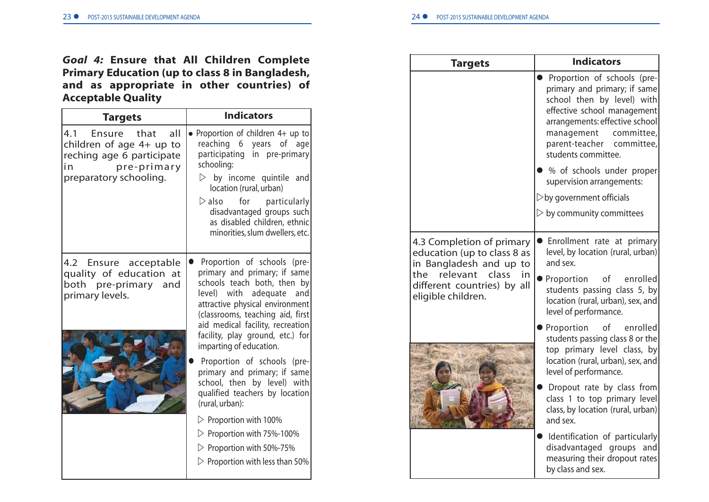# *Goal 4:* **Ensure that All Children Complete Primary Education (up to class 8 in Bangladesh, and as appropriate in other countries) of Acceptable Quality**

| <b>Indicators</b><br><b>Targets</b>                                                                                                 |                                                                                                                                                                                                                                                                                                                               |
|-------------------------------------------------------------------------------------------------------------------------------------|-------------------------------------------------------------------------------------------------------------------------------------------------------------------------------------------------------------------------------------------------------------------------------------------------------------------------------|
| 4.1<br>Ensure that<br>all<br>children of age $4+$ up to<br>reching age 6 participate<br>pre-primary<br>in<br>preparatory schooling. | • Proportion of children 4+ up to<br>reaching 6 years of age<br>participating in pre-primary<br>schooling:<br>$\triangleright$ by income quintile and<br>location (rural, urban)<br>$\triangleright$ also<br>for particularly<br>disadvantaged groups such<br>as disabled children, ethnic<br>minorities, slum dwellers, etc. |
| 4.2 Ensure acceptable<br>quality of education at<br>both pre-primary and<br>primary levels.                                         | Proportion of schools (pre-<br>primary and primary; if same<br>schools teach both, then by<br>with<br>adequate<br>and<br>level)<br>attractive physical environment<br>(classrooms, teaching aid, first<br>aid medical facility, recreation<br>facility, play ground, etc.) for<br>imparting of education.                     |
|                                                                                                                                     | Proportion of schools (pre-<br>primary and primary; if same<br>school, then by level) with<br>qualified teachers by location<br>(rural, urban):                                                                                                                                                                               |
|                                                                                                                                     | $\triangleright$ Proportion with 100%                                                                                                                                                                                                                                                                                         |
|                                                                                                                                     | $\triangleright$ Proportion with 75%-100%                                                                                                                                                                                                                                                                                     |
|                                                                                                                                     | $\triangleright$ Proportion with 50%-75%                                                                                                                                                                                                                                                                                      |
|                                                                                                                                     | $\triangleright$ Proportion with less than 50%                                                                                                                                                                                                                                                                                |

| <b>Targets</b>                                                                                                                                                             | <b>Indicators</b>                                                                                                                                                                                                                               |
|----------------------------------------------------------------------------------------------------------------------------------------------------------------------------|-------------------------------------------------------------------------------------------------------------------------------------------------------------------------------------------------------------------------------------------------|
|                                                                                                                                                                            | • Proportion of schools (pre-<br>primary and primary; if same<br>school then by level) with<br>effective school management<br>arrangements: effective school<br>management<br>committee,<br>committee,<br>parent-teacher<br>students committee. |
|                                                                                                                                                                            | % of schools under proper<br>supervision arrangements:                                                                                                                                                                                          |
|                                                                                                                                                                            | $\triangleright$ by government officials                                                                                                                                                                                                        |
|                                                                                                                                                                            | $\triangleright$ by community committees                                                                                                                                                                                                        |
| 4.3 Completion of primary<br>education (up to class 8 as<br>in Bangladesh and up to<br>relevant<br>class<br>the<br>in<br>different countries) by all<br>eligible children. | Enrollment rate at primary<br>level, by location (rural, urban)<br>and sex.<br>Proportion of<br>enrolled<br>students passing class 5, by<br>location (rural, urban), sex, and<br>level of performance.                                          |
|                                                                                                                                                                            | Proportion<br>enrolled<br>οf<br>students passing class 8 or the<br>top primary level class, by<br>location (rural, urban), sex, and<br>level of performance.                                                                                    |
|                                                                                                                                                                            | Dropout rate by class from<br>class 1 to top primary level<br>class, by location (rural, urban)<br>and sex.                                                                                                                                     |
|                                                                                                                                                                            | Identification of particularly<br>disadvantaged groups<br>and<br>measuring their dropout rates<br>by class and sex.                                                                                                                             |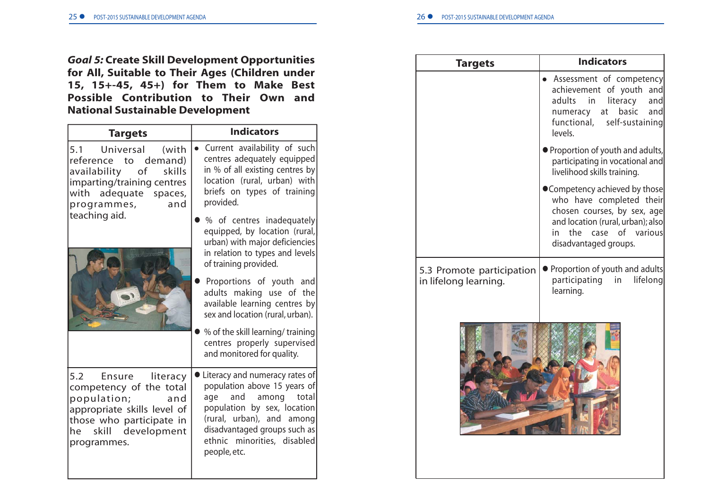*Goal 5:* **Create Skill Development Opportunities for All, Suitable to Their Ages (Children under 15, 15+-45, 45+) for Them to Make Best Possible Contribution to Their Own and National Sustainable Development**

| <b>Targets</b>                                                                                                                                                         | <b>Indicators</b>                                                                                                                                                                                                                                                                                                                                                                                                                                                                                                                                                    |
|------------------------------------------------------------------------------------------------------------------------------------------------------------------------|----------------------------------------------------------------------------------------------------------------------------------------------------------------------------------------------------------------------------------------------------------------------------------------------------------------------------------------------------------------------------------------------------------------------------------------------------------------------------------------------------------------------------------------------------------------------|
| 5.1 Universal (with<br>reference to demand)<br>availability of<br>skills<br>imparting/training centres<br>with adequate spaces,<br>programmes,<br>and<br>teaching aid. | Current availability of such<br>centres adequately equipped<br>in % of all existing centres by<br>location (rural, urban) with<br>briefs on types of training<br>provided.<br>% of centres inadequately<br>equipped, by location (rural,<br>urban) with major deficiencies<br>in relation to types and levels<br>of training provided.<br>Proportions of youth and<br>adults making use of the<br>available learning centres by<br>sex and location (rural, urban).<br>% of the skill learning/training<br>centres properly supervised<br>and monitored for quality. |
| 5.2<br>Ensure literacy<br>competency of the total<br>population; and<br>appropriate skills level of<br>those who participate in<br>he skill development<br>programmes. | Literacy and numeracy rates of<br>population above 15 years of<br>age and among total<br>population by sex, location<br>(rural, urban), and among<br>disadvantaged groups such as<br>ethnic minorities, disabled<br>people, etc.                                                                                                                                                                                                                                                                                                                                     |

| <b>Targets</b>                                     | <b>Indicators</b>                                                                                                                                                                       |
|----------------------------------------------------|-----------------------------------------------------------------------------------------------------------------------------------------------------------------------------------------|
|                                                    | Assessment of competency<br>achievement of youth<br>and<br>adults<br>in<br>literacy<br>and<br>basic<br>numeracy<br>at<br>and<br>self-sustaining<br>functional,<br>levels.               |
|                                                    | ■ Proportion of youth and adults,<br>participating in vocational and<br>livelihood skills training.                                                                                     |
|                                                    | ● Competency achieved by those<br>who have completed their<br>chosen courses, by sex, age<br>and location (rural, urban); also<br>case of various<br>the<br>in<br>disadvantaged groups. |
| 5.3 Promote participation<br>in lifelong learning. | • Proportion of youth and adults<br>participating<br>lifelong<br>in<br>learning.                                                                                                        |
|                                                    |                                                                                                                                                                                         |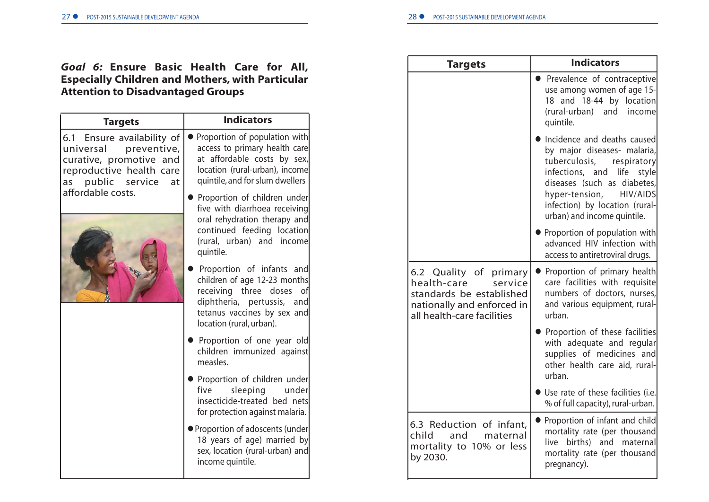# *Goal 6:* **Ensure Basic Health Care for All, Especially Children and Mothers, with Particular Attention to Disadvantaged Groups**

| <b>Targets</b>                                                                                                                                                | <b>Indicators</b>                                                                                                                                                              |
|---------------------------------------------------------------------------------------------------------------------------------------------------------------|--------------------------------------------------------------------------------------------------------------------------------------------------------------------------------|
| 6.1 Ensure availability of<br>universal<br>preventive,<br>curative, promotive and<br>reproductive health care<br>as public service<br>at<br>affordable costs. | Proportion of population with<br>access to primary health care<br>at affordable costs by sex,<br>location (rural-urban), income<br>quintile, and for slum dwellers             |
|                                                                                                                                                               | Proportion of children under<br>five with diarrhoea receiving<br>oral rehydration therapy and<br>continued feeding location<br>(rural, urban) and income<br>quintile.          |
|                                                                                                                                                               | Proportion of infants and<br>children of age 12-23 months<br>receiving three doses of<br>diphtheria, pertussis, and<br>tetanus vaccines by sex and<br>location (rural, urban). |
|                                                                                                                                                               | Proportion of one year old<br>children immunized against<br>measles.                                                                                                           |
|                                                                                                                                                               | Proportion of children under<br>sleeping<br>five<br>under<br>insecticide-treated bed nets<br>for protection against malaria.                                                   |
|                                                                                                                                                               | ● Proportion of adoscents (under<br>18 years of age) married by<br>sex, location (rural-urban) and<br>income quintile.                                                         |

| <b>Targets</b>                                                                                                                           | <b>Indicators</b>                                                                                                                                                                                                                                                |
|------------------------------------------------------------------------------------------------------------------------------------------|------------------------------------------------------------------------------------------------------------------------------------------------------------------------------------------------------------------------------------------------------------------|
|                                                                                                                                          | Prevalence of contraceptive<br>use among women of age 15-<br>18 and 18-44 by location<br>(rural-urban) and income<br>quintile.                                                                                                                                   |
|                                                                                                                                          | Incidence and deaths caused<br>by major diseases- malaria,<br>respiratory<br>tuberculosis,<br>infections, and life<br>style<br>diseases (such as diabetes,<br>hyper-tension,<br><b>HIV/AIDS</b><br>infection) by location (rural-<br>urban) and income quintile. |
|                                                                                                                                          | Proportion of population with<br>advanced HIV infection with<br>access to antiretroviral drugs.                                                                                                                                                                  |
| 6.2 Quality of primary<br>health-care<br>service<br>standards be established<br>nationally and enforced in<br>all health-care facilities | Proportion of primary health<br>care facilities with requisite<br>numbers of doctors, nurses,<br>and various equipment, rural-<br>urban.                                                                                                                         |
|                                                                                                                                          | Proportion of these facilities<br>with adequate and regular<br>supplies of medicines and<br>other health care aid, rural-<br>urban.                                                                                                                              |
|                                                                                                                                          | · Use rate of these facilities (i.e.<br>% of full capacity), rural-urban.                                                                                                                                                                                        |
| 6.3 Reduction of infant,<br>and<br>child<br>maternal<br>mortality to 10% or less<br>by 2030.                                             | • Proportion of infant and child<br>mortality rate (per thousand<br>births) and<br>live<br>maternal<br>mortality rate (per thousand<br>pregnancy).                                                                                                               |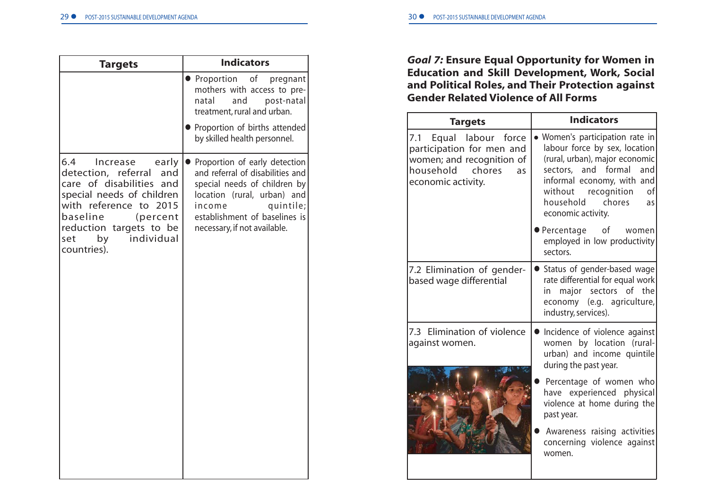| <b>Targets</b>                                                                                                                                                                                                                         | <b>Indicators</b>                                                                                                                                                                                                        |
|----------------------------------------------------------------------------------------------------------------------------------------------------------------------------------------------------------------------------------------|--------------------------------------------------------------------------------------------------------------------------------------------------------------------------------------------------------------------------|
|                                                                                                                                                                                                                                        | Proportion<br>of<br>pregnant<br>mothers with access to pre-<br>and<br>post-natal<br>natal<br>treatment, rural and urban.                                                                                                 |
|                                                                                                                                                                                                                                        | Proportion of births attended<br>by skilled health personnel.                                                                                                                                                            |
| 6.4<br>Increase<br>early<br>detection, referral<br>and<br>care of disabilities and<br>special needs of children<br>with reference to 2015<br>baseline<br>(percent<br>reduction targets to be<br>individual<br>by<br>set<br>countries). | Proportion of early detection<br>and referral of disabilities and<br>special needs of children by<br>location (rural, urban) and<br>quintile;<br>income<br>establishment of baselines is<br>necessary, if not available. |

# *Goal 7:* **Ensure Equal Opportunity for Women in Education and Skill Development, Work, Social and Political Roles, and Their Protection against Gender Related Violence of All Forms**

| <b>Targets</b>                                                                                                                   | <b>Indicators</b>                                                                                                                                                                                                                        |
|----------------------------------------------------------------------------------------------------------------------------------|------------------------------------------------------------------------------------------------------------------------------------------------------------------------------------------------------------------------------------------|
| 7.1 Equal labour force<br>participation for men and<br>women; and recognition of<br>household chores<br>as<br>economic activity. | • Women's participation rate in<br>labour force by sex, location<br>(rural, urban), major economic<br>sectors, and formal and<br>informal economy, with and<br>without recognition<br>οf<br>household chores<br>as<br>economic activity. |
|                                                                                                                                  | ● Percentage of women<br>employed in low productivity<br>sectors.                                                                                                                                                                        |
| 7.2 Elimination of gender-<br>based wage differential                                                                            | • Status of gender-based wage<br>rate differential for equal work<br>major sectors of the<br>in<br>economy (e.g. agriculture,<br>industry, services).                                                                                    |
| 7.3 Elimination of violence<br>against women.                                                                                    | Incidence of violence against<br>women by location (rural-<br>urban) and income quintile<br>during the past year.                                                                                                                        |
|                                                                                                                                  | Percentage of women who<br>have experienced physical<br>violence at home during the<br>past year.                                                                                                                                        |
|                                                                                                                                  | Awareness raising activities<br>concerning violence against<br>women.                                                                                                                                                                    |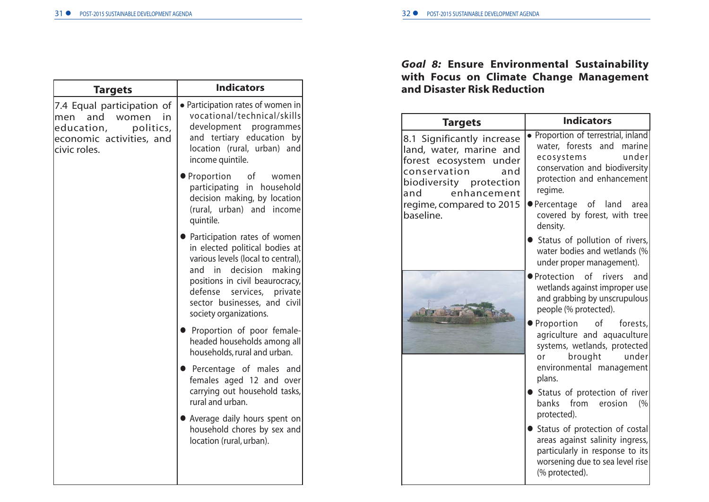| <b>Targets</b>                                                                                                                 | <b>Indicators</b>                                                                                                                                                                                                                                                   |  |
|--------------------------------------------------------------------------------------------------------------------------------|---------------------------------------------------------------------------------------------------------------------------------------------------------------------------------------------------------------------------------------------------------------------|--|
| 7.4 Equal participation of<br>and<br>women<br>in<br>men<br>education,<br>politics,<br>economic activities, and<br>civic roles. | • Participation rates of women in<br>vocational/technical/skills<br>development<br>programmes<br>and tertiary education by<br>location (rural, urban) and<br>income quintile.                                                                                       |  |
|                                                                                                                                | $\bullet$ Proportion<br>of the control<br>women<br>participating<br>in household<br>decision making, by location<br>(rural, urban) and income<br>quintile.                                                                                                          |  |
|                                                                                                                                | • Participation rates of women<br>in elected political bodies at<br>various levels (local to central),<br>decision<br>making<br>and in<br>positions in civil beaurocracy,<br>defense<br>services, private<br>sector businesses, and civil<br>society organizations. |  |
|                                                                                                                                | Proportion of poor female-<br>headed households among all<br>households, rural and urban.                                                                                                                                                                           |  |
|                                                                                                                                | <b>•</b> Percentage of males and<br>females aged 12 and over<br>carrying out household tasks,<br>rural and urban.                                                                                                                                                   |  |
|                                                                                                                                | • Average daily hours spent on<br>household chores by sex and<br>location (rural, urban).                                                                                                                                                                           |  |
|                                                                                                                                |                                                                                                                                                                                                                                                                     |  |

# *Goal 8:* **Ensure Environmental Sustainability with Focus on Climate Change Management and Disaster Risk Reduction**

| <b>Targets</b>                                                                                                                                          | <b>Indicators</b>                                                                                                                                                 |
|---------------------------------------------------------------------------------------------------------------------------------------------------------|-------------------------------------------------------------------------------------------------------------------------------------------------------------------|
| 8.1 Significantly increase<br>land, water, marine and<br>forest ecosystem under<br>conservation<br>and<br>biodiversity protection<br>enhancement<br>and | • Proportion of terrestrial, inland<br>water, forests and marine<br>under<br>ecosystems<br>conservation and biodiversity<br>protection and enhancement<br>regime. |
| regime, compared to 2015<br>baseline.                                                                                                                   | ●Percentage of land area<br>covered by forest, with tree<br>density.                                                                                              |
|                                                                                                                                                         | Status of pollution of rivers,<br>water bodies and wetlands (%<br>under proper management).                                                                       |
|                                                                                                                                                         | ● Protection of<br>rivers and<br>wetlands against improper use<br>and grabbing by unscrupulous<br>people (% protected).                                           |
|                                                                                                                                                         | of<br>forests,<br>Proportion<br>agriculture and aquaculture<br>systems, wetlands, protected<br>under<br>brought<br>or<br>environmental management<br>plans.       |
|                                                                                                                                                         | Status of protection of river<br>banks from<br>erosion<br>(%<br>protected).                                                                                       |
|                                                                                                                                                         | Status of protection of costal<br>areas against salinity ingress,<br>particularly in response to its<br>worsening due to sea level rise<br>(% protected).         |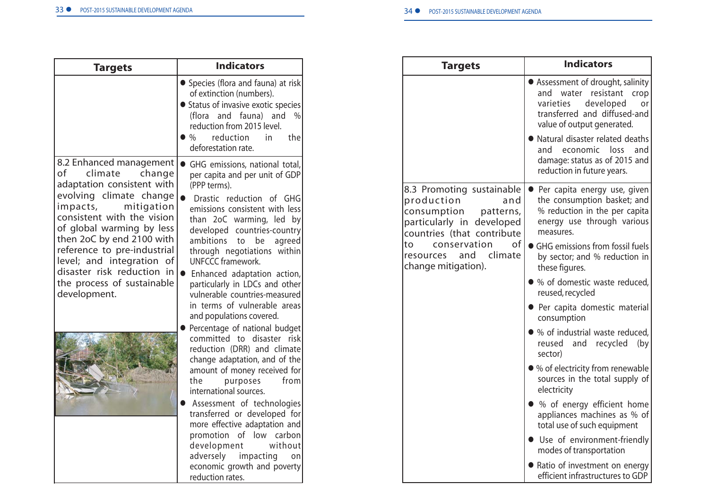| <b>Targets</b>                                                                                                                                                                                                                                                                                                                                        | <b>Indicators</b>                                                                                                                                                                                                                                                                                                                                                                                                                                                                                                                                 |
|-------------------------------------------------------------------------------------------------------------------------------------------------------------------------------------------------------------------------------------------------------------------------------------------------------------------------------------------------------|---------------------------------------------------------------------------------------------------------------------------------------------------------------------------------------------------------------------------------------------------------------------------------------------------------------------------------------------------------------------------------------------------------------------------------------------------------------------------------------------------------------------------------------------------|
|                                                                                                                                                                                                                                                                                                                                                       | • Species (flora and fauna) at risk<br>of extinction (numbers).<br>• Status of invasive exotic species<br>(flora and fauna) and<br>$\frac{0}{0}$<br>reduction from 2015 level.<br>reduction<br>$\%$<br>in<br>the<br>deforestation rate.                                                                                                                                                                                                                                                                                                           |
| 8.2 Enhanced management<br>of<br>climate<br>change<br>adaptation consistent with<br>evolving climate change<br>impacts,<br>mitigation<br>consistent with the vision<br>of global warming by less<br>then 2oC by end 2100 with<br>reference to pre-industrial<br>level; and integration of<br>disaster risk reduction in<br>the process of sustainable | GHG emissions, national total,<br>per capita and per unit of GDP<br>(PPP terms).<br>Drastic reduction of GHG<br>emissions consistent with less<br>than 2oC warming, led by<br>developed countries-country<br>ambitions<br>be<br>agreed<br>to<br>through negotiations within<br><b>UNFCCC framework.</b><br>$\bullet$<br>Enhanced adaptation action,<br>particularly in LDCs and other                                                                                                                                                             |
| development.                                                                                                                                                                                                                                                                                                                                          | vulnerable countries-measured<br>in terms of vulnerable areas<br>and populations covered.<br>Percentage of national budget<br>committed to disaster risk<br>reduction (DRR) and climate<br>change adaptation, and of the<br>amount of money received for<br>the<br>from<br>purposes<br>international sources.<br>Assessment of technologies<br>transferred or developed for<br>more effective adaptation and<br>promotion of low carbon<br>development<br>without<br>adversely impacting<br>on<br>economic growth and poverty<br>reduction rates. |

| <b>Targets</b>                                                                                                                        | <b>Indicators</b>                                                                                                                                                  |
|---------------------------------------------------------------------------------------------------------------------------------------|--------------------------------------------------------------------------------------------------------------------------------------------------------------------|
|                                                                                                                                       | Assessment of drought, salinity<br>water<br>resistant<br>and<br>crop<br>varieties<br>developed<br>or<br>transferred and diffused-and<br>value of output generated. |
|                                                                                                                                       | Natural disaster related deaths<br>and<br>economic<br>loss<br>and<br>damage: status as of 2015 and<br>reduction in future years.                                   |
| 8.3 Promoting sustainable<br>production<br>and<br>consumption<br>patterns,<br>particularly in developed<br>countries (that contribute | • Per capita energy use, given<br>the consumption basket; and<br>% reduction in the per capita<br>energy use through various<br>measures.                          |
| conservation<br>of<br>to<br>climate<br>and<br>resources<br>change mitigation).                                                        | • GHG emissions from fossil fuels<br>by sector; and % reduction in<br>these figures.                                                                               |
|                                                                                                                                       | • % of domestic waste reduced,<br>reused, recycled                                                                                                                 |
|                                                                                                                                       | • Per capita domestic material<br>consumption                                                                                                                      |
|                                                                                                                                       | • % of industrial waste reduced,<br>reused<br>and<br>recycled<br>(by)<br>sector)                                                                                   |
|                                                                                                                                       | • % of electricity from renewable<br>sources in the total supply of<br>electricity                                                                                 |
|                                                                                                                                       | • % of energy efficient home<br>appliances machines as % of<br>total use of such equipment                                                                         |
|                                                                                                                                       | • Use of environment-friendly<br>modes of transportation                                                                                                           |
|                                                                                                                                       | Ratio of investment on energy<br>efficient infrastructures to GDP                                                                                                  |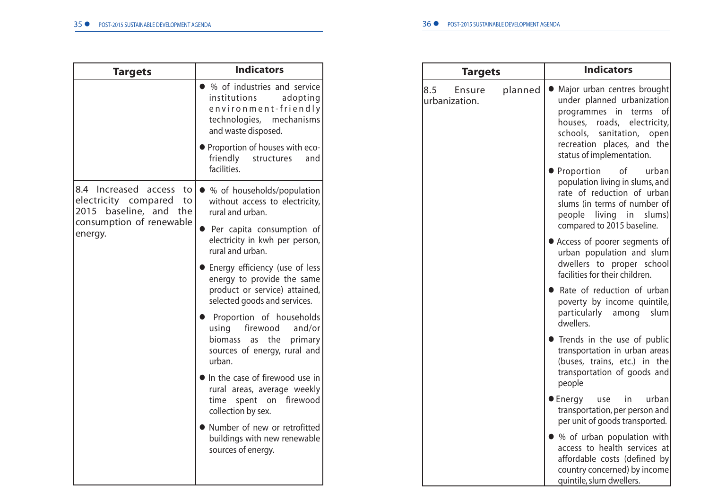| <b>Targets</b>                                                               | <b>Indicators</b>                                                                                                                       |  |
|------------------------------------------------------------------------------|-----------------------------------------------------------------------------------------------------------------------------------------|--|
|                                                                              | • % of industries and service<br>institutions<br>adopting<br>environment-friendly<br>technologies,<br>mechanisms<br>and waste disposed. |  |
|                                                                              | • Proportion of houses with eco-<br>friendly<br>structures<br>and<br>facilities.                                                        |  |
| 8.4 Increased access to<br>electricity compared to<br>2015 baseline, and the | ● % of households/population<br>without access to electricity,<br>rural and urban.                                                      |  |
| consumption of renewable<br>energy.                                          | • Per capita consumption of<br>electricity in kwh per person,<br>rural and urban.                                                       |  |
|                                                                              | • Energy efficiency (use of less<br>energy to provide the same<br>product or service) attained,<br>selected goods and services.         |  |
|                                                                              | Proportion of households<br>firewood<br>using<br>and/or<br>biomass as the<br>primary<br>sources of energy, rural and<br>urban.          |  |
|                                                                              | In the case of firewood use in<br>rural areas, average weekly<br>time spent on firewood<br>collection by sex.                           |  |
|                                                                              | • Number of new or retrofitted<br>buildings with new renewable<br>sources of energy.                                                    |  |
|                                                                              |                                                                                                                                         |  |

| <b>Targets</b>                 |         | <b>Indicators</b>                                                                                                                                                                                                   |
|--------------------------------|---------|---------------------------------------------------------------------------------------------------------------------------------------------------------------------------------------------------------------------|
| 8.5<br>Ensure<br>urbanization. | planned | Major urban centres brought<br>under planned urbanization<br>programmes in<br>of<br>terms<br>houses, roads,<br>electricity,<br>schools, sanitation, open<br>recreation places, and the<br>status of implementation. |
|                                |         | Proportion<br>of<br>urban<br>population living in slums, and<br>rate of reduction of urban<br>slums (in terms of number of<br>people living in<br>slums)<br>compared to 2015 baseline.                              |
|                                |         | Access of poorer segments of<br>urban population and slum<br>dwellers to proper school<br>facilities for their children.                                                                                            |
|                                |         | ● Rate of reduction of urban<br>poverty by income quintile,<br>particularly<br>among<br>slum<br>dwellers.                                                                                                           |
|                                |         | Trends in the use of public<br>transportation in urban areas<br>(buses, trains, etc.) in the<br>transportation of goods and<br>people                                                                               |
|                                |         | urban<br>$\bullet$ Energy<br>in<br>use<br>transportation, per person and<br>per unit of goods transported.                                                                                                          |
|                                |         | • % of urban population with<br>access to health services at<br>affordable costs (defined by<br>country concerned) by income<br>quintile, slum dwellers.                                                            |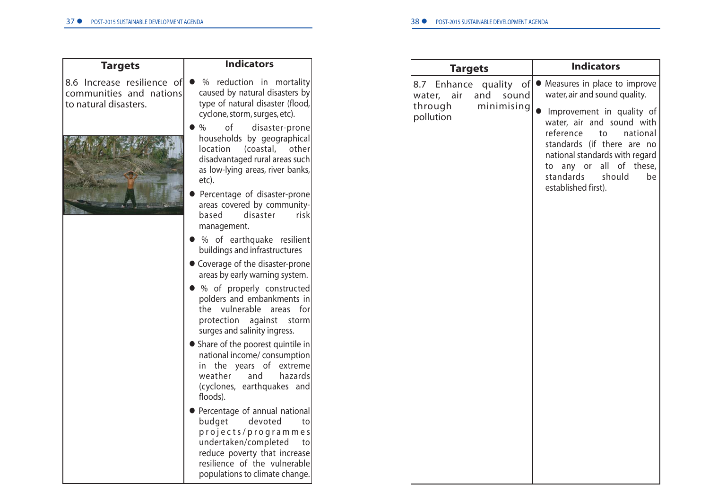| <b>Targets</b>                                                                 | <b>Indicators</b>                                                                                                                                                                                                 |
|--------------------------------------------------------------------------------|-------------------------------------------------------------------------------------------------------------------------------------------------------------------------------------------------------------------|
| 8.6 Increase resilience of<br>communities and nations<br>to natural disasters. | $\%$<br>reduction in<br>mortality<br>caused by natural disasters by<br>type of natural disaster (flood,<br>cyclone, storm, surges, etc).                                                                          |
|                                                                                | $\%$<br>οf<br>disaster-prone<br>households by geographical<br>location<br>(coastal,<br>otherl<br>disadvantaged rural areas such<br>as low-lying areas, river banks,<br>etc).                                      |
|                                                                                | Percentage of disaster-prone<br>areas covered by community-<br>based<br>disaster<br>riskl<br>management.                                                                                                          |
|                                                                                | % of earthquake resilient<br>buildings and infrastructures                                                                                                                                                        |
|                                                                                | • Coverage of the disaster-prone<br>areas by early warning system.                                                                                                                                                |
|                                                                                | % of properly constructed<br>polders and embankments in<br>vulnerable<br>the<br>areas<br>forl<br>protection<br>against<br>storm<br>surges and salinity ingress.                                                   |
|                                                                                | Share of the poorest quintile in<br>national income/ consumption<br>in the years of<br>extreme<br>weather<br>and<br>hazards<br>(cyclones, earthquakes and<br>floods).                                             |
|                                                                                | • Percentage of annual national<br>devoted<br>budget<br>to<br>projects/programmes<br>undertaken/completed<br>to<br>reduce poverty that increase<br>resilience of the vulnerable<br>populations to climate change. |

| <b>Targets</b>                                                                                | <b>Indicators</b>                                                                                                                                                                                                                                                                                                     |
|-----------------------------------------------------------------------------------------------|-----------------------------------------------------------------------------------------------------------------------------------------------------------------------------------------------------------------------------------------------------------------------------------------------------------------------|
| of<br>8.7 Enhance quality<br>and<br>sound<br>water, air<br>minimising<br>through<br>pollution | Measures in place to improve<br>$\bullet$<br>water, air and sound quality.<br>Improvement in quality of<br>water, air and sound with<br>reference<br>to<br>national<br>standards (if there are no<br>national standards with regard<br>to any or<br>all of these,<br>standards<br>should<br>be<br>established first). |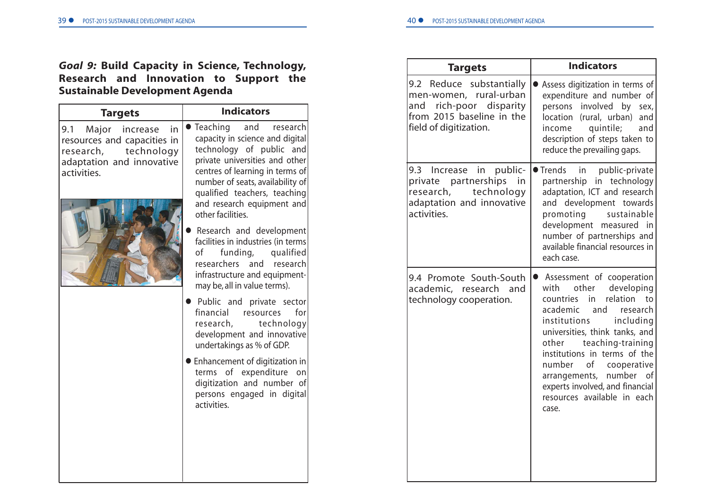# *Goal 9:* **Build Capacity in Science, Technology, Research and Innovation to Support the Sustainable Development Agenda**

| <b>Targets</b>                                                                                                                       | <b>Indicators</b>                                                                                                                                                                                                                                                                      |
|--------------------------------------------------------------------------------------------------------------------------------------|----------------------------------------------------------------------------------------------------------------------------------------------------------------------------------------------------------------------------------------------------------------------------------------|
| Major<br>9.1<br>increase<br>in<br>resources and capacities in<br>research,<br>technology<br>adaptation and innovative<br>activities. | Teaching<br>and<br>research<br>capacity in science and digital<br>technology of public and<br>private universities and other<br>centres of learning in terms of<br>number of seats, availability of<br>qualified teachers, teaching<br>and research equipment and<br>other facilities. |
|                                                                                                                                      | Research and development<br>facilities in industries (in terms<br>funding,<br>of l<br>qualified<br>researchers and<br>research<br>infrastructure and equipment-<br>may be, all in value terms).                                                                                        |
|                                                                                                                                      | Public and private sector<br>financial<br>for<br>resources<br>technology<br>research,<br>development and innovative<br>undertakings as % of GDP.                                                                                                                                       |
|                                                                                                                                      | Enhancement of digitization in<br>of expenditure<br>terms<br>on<br>digitization and number of<br>persons engaged in digital<br>activities.                                                                                                                                             |
|                                                                                                                                      |                                                                                                                                                                                                                                                                                        |

| <b>Targets</b>                                                                                                                          | <b>Indicators</b>                                                                                                                                                                                                                                                                                                                                                                                                 |
|-----------------------------------------------------------------------------------------------------------------------------------------|-------------------------------------------------------------------------------------------------------------------------------------------------------------------------------------------------------------------------------------------------------------------------------------------------------------------------------------------------------------------------------------------------------------------|
| 9.2 Reduce substantially<br>men-women, rural-urban<br>rich-poor disparity<br>and<br>from 2015 baseline in the<br>field of digitization. | Assess digitization in terms of<br>expenditure and number of<br>involved<br>by sex,<br>persons<br>location (rural, urban) and<br>quintile;<br>income<br>and<br>description of steps taken to<br>reduce the prevailing gaps.                                                                                                                                                                                       |
| 9.3 Increase in public-<br>private partnerships<br>in<br>technology<br>research,<br>adaptation and innovative<br>activities.            | in public-private<br>$\bullet$ Trends<br>partnership in technology<br>adaptation, ICT and research<br>and development towards<br>sustainable<br>promoting<br>development measured in<br>number of partnerships and<br>available financial resources in<br>each case.                                                                                                                                              |
| 9.4 Promote South-South<br>academic, research and<br>technology cooperation.                                                            | Assessment of cooperation<br>$\bullet$<br>developing<br>with<br>other<br>relation<br>countries<br>in<br>to<br>research<br>academic<br>and<br>institutions<br>including<br>universities, think tanks, and<br>teaching-training<br>other<br>institutions in terms of the<br>number<br>of<br>cooperative<br>number<br>οf<br>arrangements,<br>experts involved, and financial<br>resources available in each<br>case. |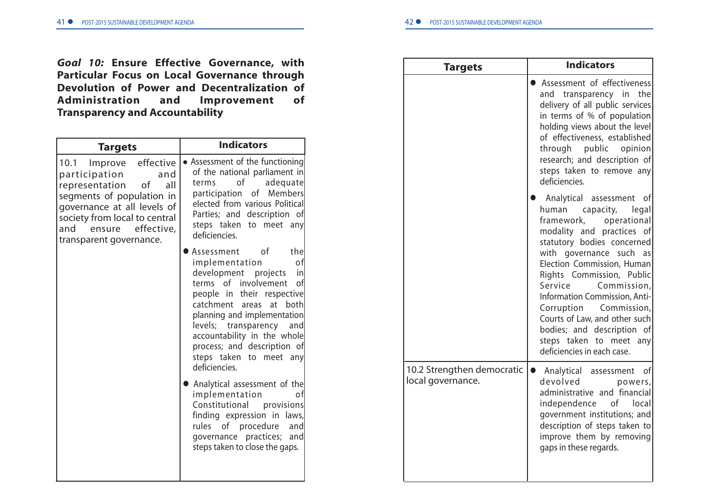*Goal 10:* **Ensure Effective Governance, with Particular Focus on Local Governance through Devolution of Power and Decentralization of Administration and Improvement of Transparency and Accountability**

| <b>Targets</b>                                                                                                                                                                                                                             | <b>Indicators</b>                                                                                                                                                                                                                                                                                                                                    |  |
|--------------------------------------------------------------------------------------------------------------------------------------------------------------------------------------------------------------------------------------------|------------------------------------------------------------------------------------------------------------------------------------------------------------------------------------------------------------------------------------------------------------------------------------------------------------------------------------------------------|--|
| effective<br>10.1<br>Improve<br>participation<br>and<br>representation<br>of<br>all<br>segments of population in<br>governance at all levels of<br>society from local to central<br>and<br>effective,<br>ensure<br>transparent governance. | • Assessment of the functioning<br>of the national parliament in<br>of<br>adequate<br>terms<br>participation of Members<br>elected from various Political<br>Parties; and description of<br>steps taken to meet any<br>deficiencies.                                                                                                                 |  |
|                                                                                                                                                                                                                                            | of<br>the<br>Assessment  <br>implementation<br>of<br>development projects<br>in<br>terms of involvement<br>οf<br>people in their respective<br>catchment areas<br>at<br>both<br>planning and implementation<br>levels; transparency<br>and<br>accountability in the whole<br>process; and description of<br>steps taken to meet any<br>deficiencies. |  |
|                                                                                                                                                                                                                                            | Analytical assessment of the<br>implementation<br>٥f<br>Constitutional provisions<br>finding expression in laws,<br>rules of procedure<br>and<br>governance practices;<br>and<br>steps taken to close the gaps.                                                                                                                                      |  |

| <b>Targets</b>                                  | <b>Indicators</b>                                                                                                                                                                                                                                                                                                                                                                                                                                              |
|-------------------------------------------------|----------------------------------------------------------------------------------------------------------------------------------------------------------------------------------------------------------------------------------------------------------------------------------------------------------------------------------------------------------------------------------------------------------------------------------------------------------------|
|                                                 | Assessment of effectiveness<br>the<br>transparency in<br>and<br>delivery of all public services<br>in terms of % of population<br>holding views about the level<br>of effectiveness, established<br>through public opinion<br>research; and description of<br>steps taken to remove any<br>deficiencies.                                                                                                                                                       |
|                                                 | Analytical assessment<br>of<br>capacity,<br>legal<br>human<br>framework,<br>operational<br>modality and practices<br>οf<br>statutory bodies concerned<br>with governance<br>such<br>as<br>Election Commission, Human<br>Rights Commission, Public<br>Service<br>Commission,<br>Information Commission, Anti-<br>Corruption Commission,<br>Courts of Law, and other such<br>bodies; and description of<br>steps taken to meet any<br>deficiencies in each case. |
| 10.2 Strengthen democratic<br>local governance. | of<br>• Analytical assessment<br>devolved<br>powers,<br>administrative and financial<br>independence<br>of local<br>government institutions; and<br>description of steps taken to<br>improve them by removing<br>gaps in these regards.                                                                                                                                                                                                                        |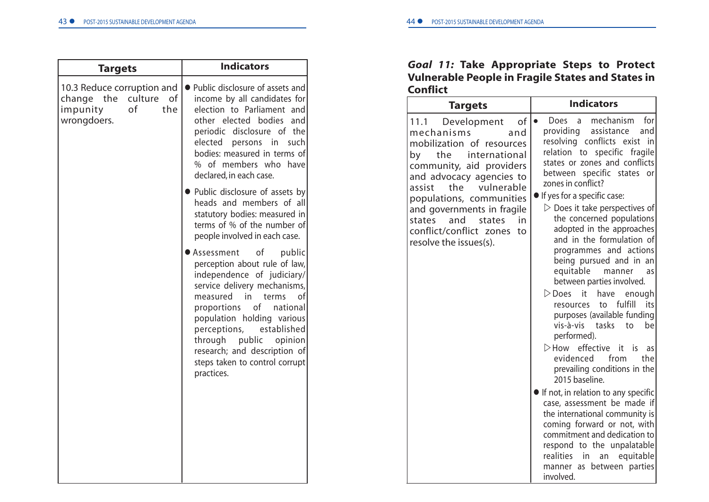| <b>Targets</b>                                                      |                         | <b>Indicators</b>                                                                                                                                                                                                                                                                                                                                                           |
|---------------------------------------------------------------------|-------------------------|-----------------------------------------------------------------------------------------------------------------------------------------------------------------------------------------------------------------------------------------------------------------------------------------------------------------------------------------------------------------------------|
| 10.3 Reduce corruption and<br>change the<br>impunity<br>wrongdoers. | culture of<br>οf<br>the | Public disclosure of assets and<br>income by all candidates for<br>election to Parliament and<br>other elected bodies<br>and<br>periodic disclosure of the<br>elected persons in<br>such<br>bodies: measured in terms of<br>% of members who have<br>declared, in each case.                                                                                                |
|                                                                     |                         | • Public disclosure of assets by<br>heads and members of all<br>statutory bodies: measured in<br>terms of % of the number of<br>people involved in each case.                                                                                                                                                                                                               |
|                                                                     |                         | ● Assessment<br>0f<br>public<br>perception about rule of law,<br>independence of judiciary/<br>service delivery mechanisms,<br>measured<br>in.<br>terms<br>οt<br>proportions<br>οf<br>national<br>population holding various<br>perceptions,<br>established<br>through<br>public<br>opinion<br>research; and description of<br>steps taken to control corrupt<br>practices. |

# *Goal 11:* **Take Appropriate Steps to Protect Vulnerable People in Fragile States and States in Conflict**

| <b>Targets</b>                                                                                                                                                                                                                                                                                                                                         | <b>Indicators</b>                                                                                                                                                                                                                                                                                                                                                                                                                                                                                                                                                                                                                                                                                                                                                                                                                                                                                                                                                                                                                                                                                                                 |  |
|--------------------------------------------------------------------------------------------------------------------------------------------------------------------------------------------------------------------------------------------------------------------------------------------------------------------------------------------------------|-----------------------------------------------------------------------------------------------------------------------------------------------------------------------------------------------------------------------------------------------------------------------------------------------------------------------------------------------------------------------------------------------------------------------------------------------------------------------------------------------------------------------------------------------------------------------------------------------------------------------------------------------------------------------------------------------------------------------------------------------------------------------------------------------------------------------------------------------------------------------------------------------------------------------------------------------------------------------------------------------------------------------------------------------------------------------------------------------------------------------------------|--|
| 11.1<br>Development<br>of<br>mechanisms<br>and<br>mobilization of resources<br>international<br>the<br>by<br>community, aid providers<br>and advocacy agencies to<br>vulnerable<br>the<br>assist<br>populations, communities<br>and governments in fragile<br>and<br>states<br>in<br>states<br>conflict/conflict zones<br>to<br>resolve the issues(s). | mechanism<br>for<br>Does<br>$\overline{a}$<br>$\bullet$<br>providing<br>assistance<br>and<br>resolving conflicts exist<br>in<br>relation<br>specific fragile<br>to<br>states or zones and conflicts<br>specific states<br>between<br>or<br>zones in conflict?<br>If yes for a specific case:<br>$\triangleright$ Does it take perspectives of<br>the concerned populations<br>adopted in the approaches<br>and in the formulation of<br>programmes and actions<br>being pursued and in an<br>equitable<br>manner<br>as<br>between parties involved.<br>$\triangleright$ Does<br>it<br>have<br>enough<br>fulfill<br>resources<br>to<br>its<br>purposes (available funding<br>vis-à-vis tasks<br>to<br>be<br>performed).<br>>How effective<br>it it<br>is.<br>as<br>from<br>evidenced<br>the<br>prevailing conditions in the<br>2015 baseline.<br>If not, in relation to any specific<br>case, assessment be made if<br>the international community is<br>coming forward or not, with<br>commitment and dedication to<br>respond to the unpalatable<br>realities<br>equitable<br>in<br>an<br>manner as between parties<br>involved. |  |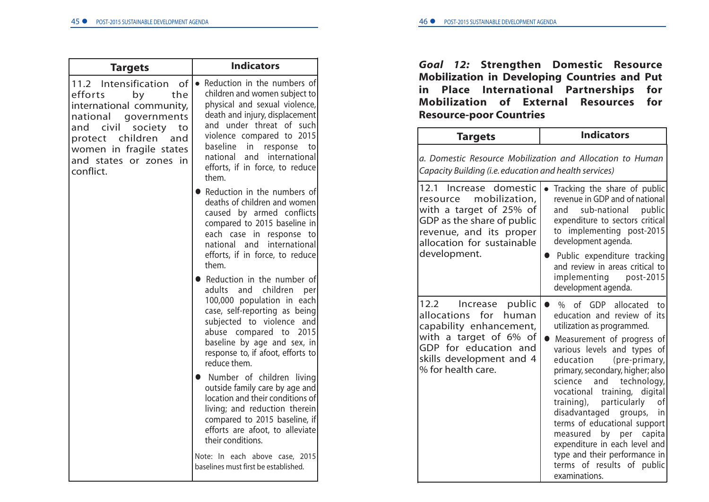| <b>Targets</b>                                                                                                                                                                                                                                | <b>Indicators</b>                                                                                                                                                                                                                                                                                     |
|-----------------------------------------------------------------------------------------------------------------------------------------------------------------------------------------------------------------------------------------------|-------------------------------------------------------------------------------------------------------------------------------------------------------------------------------------------------------------------------------------------------------------------------------------------------------|
| Intensification<br>of<br>11.2<br>efforts<br>the<br>by<br>international community,<br>national<br>governments<br>civil<br>and<br>society<br>to<br>children<br>protect<br>and<br>women in fragile states<br>and states or zones in<br>conflict. | • Reduction in the numbers of<br>children and women subject to<br>physical and sexual violence,<br>death and injury, displacement<br>and under threat of such<br>violence compared to 2015<br>baseline in<br>response to<br>national<br>and international<br>efforts, if in force, to reduce<br>them. |
|                                                                                                                                                                                                                                               | Reduction in the numbers of<br>deaths of children and women<br>caused by armed conflicts<br>compared to 2015 baseline in<br>each case in response to<br>national and international<br>efforts, if in force, to reduce<br>them.                                                                        |
|                                                                                                                                                                                                                                               | • Reduction in the number of<br>adults and children per<br>100,000 population in each<br>case, self-reporting as being<br>subjected to violence and<br>abuse compared to 2015<br>baseline by age and sex, in<br>response to, if afoot, efforts to<br>reduce them.                                     |
|                                                                                                                                                                                                                                               | • Number of children living<br>outside family care by age and<br>location and their conditions of<br>living; and reduction therein<br>compared to 2015 baseline, if<br>efforts are afoot, to alleviate<br>their conditions.                                                                           |
|                                                                                                                                                                                                                                               | Note: In each above case, 2015<br>baselines must first be established.                                                                                                                                                                                                                                |

# *Goal 12:* **Strengthen Domestic Resource Mobilization in Developing Countries and Put in Place International Partnerships for Mobilization of External Resources for Resource-poor Countries**

| <b>Targets</b>                                                                                                                                                                         | <b>Indicators</b>                                                                                                                                                                                                                                                                                                                                                                                                                                                                                                                                  |
|----------------------------------------------------------------------------------------------------------------------------------------------------------------------------------------|----------------------------------------------------------------------------------------------------------------------------------------------------------------------------------------------------------------------------------------------------------------------------------------------------------------------------------------------------------------------------------------------------------------------------------------------------------------------------------------------------------------------------------------------------|
| Capacity Building (i.e. education and health services)                                                                                                                                 | a. Domestic Resource Mobilization and Allocation to Human                                                                                                                                                                                                                                                                                                                                                                                                                                                                                          |
| 12.1 Increase domestic<br>mobilization,<br>resource<br>with a target of 25% of<br>GDP as the share of public<br>revenue, and its proper<br>allocation for sustainable                  | Tracking the share of public<br>revenue in GDP and of national<br>public<br>sub-national<br>and<br>expenditure to sectors critical<br>to implementing post-2015<br>development agenda.                                                                                                                                                                                                                                                                                                                                                             |
| development.                                                                                                                                                                           | Public expenditure tracking<br>and review in areas critical to<br>implementing post-2015<br>development agenda.                                                                                                                                                                                                                                                                                                                                                                                                                                    |
| public<br>12.2<br>Increase<br>allocations for<br>human<br>capability enhancement,<br>with a target of 6% of<br>GDP for education and<br>skills development and 4<br>% for health care. | % of GDP<br>allocated<br>to<br>education and review of its<br>utilization as programmed.<br>Measurement of progress of<br>various levels and types of<br>education<br>(pre-primary,<br>primary, secondary, higher; also<br>and<br>technology,<br>science<br>vocational<br>training, digital<br>training),<br>particularly<br>οf<br>disadvantaged<br>groups,<br>in<br>terms of educational support<br>by per<br>measured<br>capita<br>expenditure in each level and<br>type and their performance in<br>terms of results of public<br>examinations. |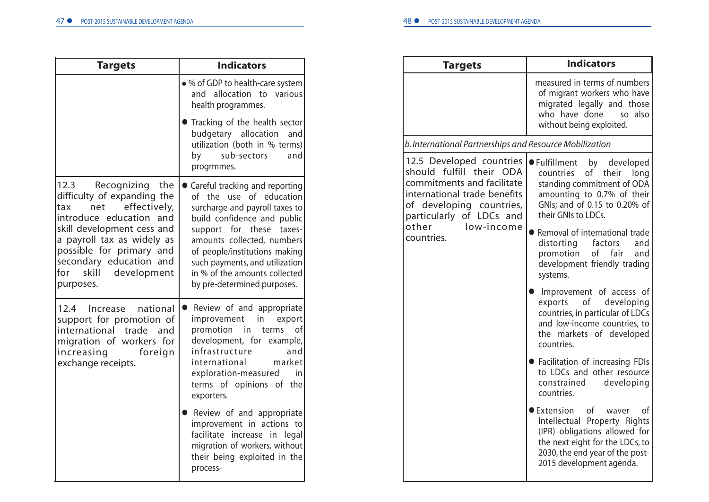| <b>Targets</b>                                                                                                                                                                                                                                                                    | <b>Indicators</b>                                                                                                                                                                                                                                                                                                          |
|-----------------------------------------------------------------------------------------------------------------------------------------------------------------------------------------------------------------------------------------------------------------------------------|----------------------------------------------------------------------------------------------------------------------------------------------------------------------------------------------------------------------------------------------------------------------------------------------------------------------------|
|                                                                                                                                                                                                                                                                                   | • % of GDP to health-care system<br>and allocation to various<br>health programmes.                                                                                                                                                                                                                                        |
|                                                                                                                                                                                                                                                                                   | • Tracking of the health sector<br>budgetary allocation<br>and<br>utilization (both in % terms)<br>sub-sectors<br>by<br>and<br>progrmmes.                                                                                                                                                                                  |
| 12.3<br>Recognizing<br>the<br>difficulty of expanding the<br>net<br>effectively,<br>tax<br>introduce education and<br>skill development cess and<br>a payroll tax as widely as<br>possible for primary and<br>secondary education and<br>for<br>skill<br>development<br>purposes. | Careful tracking and reporting<br>of the use of education<br>surcharge and payroll taxes to<br>build confidence and public<br>support for these<br>taxes-<br>amounts collected, numbers<br>of people/institutions making<br>such payments, and utilization<br>in % of the amounts collected<br>by pre-determined purposes. |
| 12.4 Increase<br>national<br>support for promotion of<br>international trade<br>and<br>migration of workers for<br>increasing<br>foreign<br>exchange receipts.                                                                                                                    | Review of and appropriate<br>$\bullet$<br>improvement<br>in<br>export<br>promotion<br>in<br>terms<br>οf<br>development, for example,<br>infrastructure<br>and<br>market<br>international<br>exploration-measured<br>in.<br>terms of opinions of the<br>exporters.                                                          |
|                                                                                                                                                                                                                                                                                   | Review of and appropriate<br>improvement in actions to<br>facilitate increase in legal<br>migration of workers, without<br>their being exploited in the<br>process-                                                                                                                                                        |

| <b>Targets</b>                                                                                                                                                                                                            | <b>Indicators</b>                                                                                                                                                                                                                                                                                                                 |
|---------------------------------------------------------------------------------------------------------------------------------------------------------------------------------------------------------------------------|-----------------------------------------------------------------------------------------------------------------------------------------------------------------------------------------------------------------------------------------------------------------------------------------------------------------------------------|
|                                                                                                                                                                                                                           | measured in terms of numbers<br>of migrant workers who have<br>migrated legally and those<br>who have done<br>so also<br>without being exploited.                                                                                                                                                                                 |
| b. International Partnerships and Resource Mobilization                                                                                                                                                                   |                                                                                                                                                                                                                                                                                                                                   |
| 12.5 Developed countries<br>should fulfill their<br><b>ODA</b><br>commitments and facilitate<br>international trade benefits<br>of developing countries,<br>particularly of LDCs and<br>other<br>low-income<br>countries. | ● Fulfillment<br>by developed<br>of<br>countries<br>their<br>long<br>standing commitment of ODA<br>amounting to 0.7% of their<br>GNIs; and of 0.15 to 0.20% of<br>their GNIs to LDCs.<br>● Removal of international trade<br>distorting factors<br>and<br>of fair<br>promotion<br>and<br>development friendly trading<br>systems. |
|                                                                                                                                                                                                                           | Improvement of access of<br>exports<br>оf<br>developing<br>countries, in particular of LDCs<br>and low-income countries, to<br>the markets of developed<br>countries.                                                                                                                                                             |
|                                                                                                                                                                                                                           | • Facilitation of increasing FDIs<br>to LDCs and other resource<br>constrained<br>developing<br>countries.                                                                                                                                                                                                                        |
|                                                                                                                                                                                                                           | ● Extension<br>οf<br>of<br>waver<br>Intellectual Property Rights<br>(IPR) obligations allowed for<br>the next eight for the LDCs, to<br>2030, the end year of the post-<br>2015 development agenda.                                                                                                                               |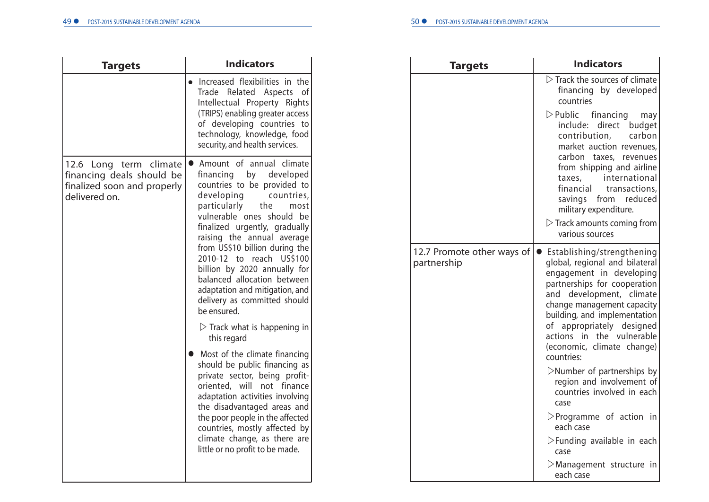| <b>Indicators</b>                                                                                                                                                                                                                                                                                                                                                                                                                                                                   |              |
|-------------------------------------------------------------------------------------------------------------------------------------------------------------------------------------------------------------------------------------------------------------------------------------------------------------------------------------------------------------------------------------------------------------------------------------------------------------------------------------|--------------|
| Increased flexibilities in the<br>Trade Related Aspects of<br>Intellectual Property Rights<br>(TRIPS) enabling greater access<br>of developing countries to<br>technology, knowledge, food<br>security, and health services.                                                                                                                                                                                                                                                        |              |
| Amount of annual climate<br>12.6 Long term climate<br>financing by<br>developed<br>countries to be provided to<br>developing<br>countries,<br>particularly<br>the<br>most<br>vulnerable ones should be<br>finalized urgently, gradually<br>raising the annual average<br>from US\$10 billion during the<br>2010-12 to reach US\$100<br>billion by 2020 annually for<br>balanced allocation between<br>adaptation and mitigation, and<br>delivery as committed should<br>be ensured. | 12.7<br>part |
| $\triangleright$ Track what is happening in<br>this regard                                                                                                                                                                                                                                                                                                                                                                                                                          |              |
| Most of the climate financing<br>should be public financing as<br>private sector, being profit-<br>oriented, will not finance<br>adaptation activities involving<br>the disadvantaged areas and<br>the poor people in the affected<br>countries, mostly affected by<br>climate change, as there are<br>little or no profit to be made.                                                                                                                                              |              |
|                                                                                                                                                                                                                                                                                                                                                                                                                                                                                     |              |

| Targets                                   | <b>Indicators</b>                                                                                                                                                                                                                                                                                                                              |
|-------------------------------------------|------------------------------------------------------------------------------------------------------------------------------------------------------------------------------------------------------------------------------------------------------------------------------------------------------------------------------------------------|
|                                           | $\triangleright$ Track the sources of climate<br>financing by developed<br>countries                                                                                                                                                                                                                                                           |
|                                           | $\triangleright$ Public financing<br>may<br>direct<br>include:<br>budget<br>contribution,<br>carbon<br>market auction revenues,<br>carbon taxes, revenues<br>from shipping and airline<br>international<br>taxes,<br>financial<br>transactions,<br>savings from reduced<br>military expenditure.<br>$\triangleright$ Track amounts coming from |
|                                           | various sources                                                                                                                                                                                                                                                                                                                                |
| 12.7 Promote other ways of<br>partnership | Establishing/strengthening<br>$\bullet$<br>global, regional and bilateral<br>engagement in developing<br>partnerships for cooperation<br>development, climate<br>and<br>change management capacity<br>building, and implementation<br>appropriately designed<br>of<br>the vulnerable<br>actions in<br>(economic, climate change)<br>countries: |
|                                           | $\triangleright$ Number of partnerships by<br>region and involvement of<br>countries involved in each<br>case                                                                                                                                                                                                                                  |
|                                           | $\triangleright$ Programme of action in<br>each case                                                                                                                                                                                                                                                                                           |
|                                           | $\triangleright$ Funding available in each<br>case                                                                                                                                                                                                                                                                                             |
|                                           | $\triangleright$ Management structure in<br>each case                                                                                                                                                                                                                                                                                          |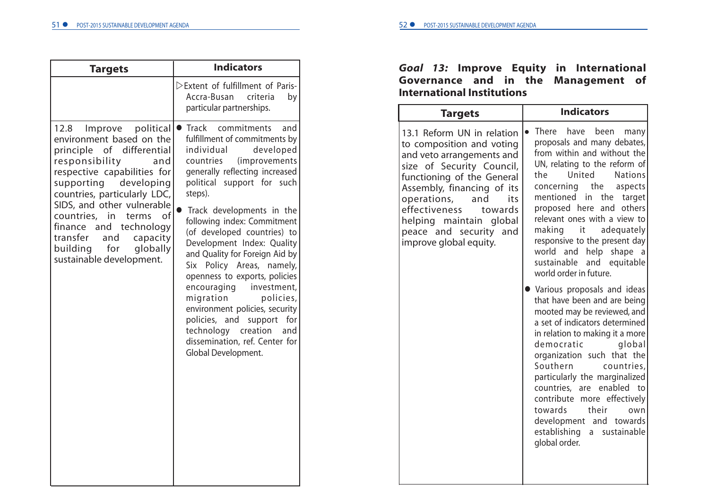| <b>Targets</b>                                                                                                                                                                                                                                                                                                                                                                 | <b>Indicators</b>                                                                                                                                                                                                                                                                                                                                                                                                                                                                                                                                                                                                                                 | Go                                                                     |
|--------------------------------------------------------------------------------------------------------------------------------------------------------------------------------------------------------------------------------------------------------------------------------------------------------------------------------------------------------------------------------|---------------------------------------------------------------------------------------------------------------------------------------------------------------------------------------------------------------------------------------------------------------------------------------------------------------------------------------------------------------------------------------------------------------------------------------------------------------------------------------------------------------------------------------------------------------------------------------------------------------------------------------------------|------------------------------------------------------------------------|
|                                                                                                                                                                                                                                                                                                                                                                                | >Extent of fulfillment of Paris-<br>Accra-Busan<br>criteria<br>by<br>particular partnerships.                                                                                                                                                                                                                                                                                                                                                                                                                                                                                                                                                     | Go <sup>®</sup><br>Int                                                 |
| 12.8<br>Improve<br>environment based on the<br>principle of differential<br>responsibility<br>and<br>respective capabilities for<br>supporting<br>developing<br>countries, particularly LDC,<br>SIDS, and other vulnerable<br>countries, in<br>of<br>terms<br>finance and technology<br>transfer<br>and<br>capacity<br>for<br>building<br>globally<br>sustainable development. | political   Track commitments<br>and<br>fulfillment of commitments by<br>individual<br>developed<br>countries<br>(improvements)<br>generally reflecting increased<br>political support for such<br>steps).<br>Track developments in the<br>following index: Commitment<br>(of developed countries) to<br>Development Index: Quality<br>and Quality for Foreign Aid by<br>Six Policy Areas, namely,<br>openness to exports, policies<br>encouraging<br>investment,<br>migration<br>policies,<br>environment policies, security<br>policies, and support for<br>technology creation<br>and<br>dissemination, ref. Center for<br>Global Development. | 13.<br>to<br>and<br>siz<br>fun<br>Ass<br>op<br>eff<br>hel<br>pea<br>im |

# *Goal 13:* **Improve Equity in International Governance and in the Management of International Institutions**

| <b>Targets</b>                                                                                                                                                                                                                                                                                                     | <b>Indicators</b>                                                                                                                                                                                                                                                                                                                                                                                                                                            |
|--------------------------------------------------------------------------------------------------------------------------------------------------------------------------------------------------------------------------------------------------------------------------------------------------------------------|--------------------------------------------------------------------------------------------------------------------------------------------------------------------------------------------------------------------------------------------------------------------------------------------------------------------------------------------------------------------------------------------------------------------------------------------------------------|
| 13.1 Reform UN in relation<br>to composition and voting<br>and veto arrangements and<br>size of Security Council,<br>functioning of the General<br>Assembly, financing of its<br>operations, and<br>its<br>effectiveness<br>towards<br>helping maintain global<br>peace and security and<br>improve global equity. | There have<br>been<br>many<br>proposals and many debates,<br>from within and without the<br>UN, relating to the reform of<br>United<br>the<br><b>Nations</b><br>concerning the aspects<br>mentioned in the target<br>proposed here and others<br>relevant ones with a view to<br>making it adequately<br>responsive to the present day<br>help<br>world and<br>shape<br>a<br>sustainable<br>and equitable<br>world order in future.                          |
|                                                                                                                                                                                                                                                                                                                    | • Various proposals and ideas<br>that have been and are being<br>mooted may be reviewed, and<br>a set of indicators determined<br>in relation to making it a more<br>democratic<br>global<br>organization such that the<br>Southern<br>countries,<br>particularly the marginalized<br>countries, are enabled to<br>contribute<br>more effectively<br>towards<br>their<br>own<br>development and<br>towards<br>establishing<br>a sustainable<br>global order. |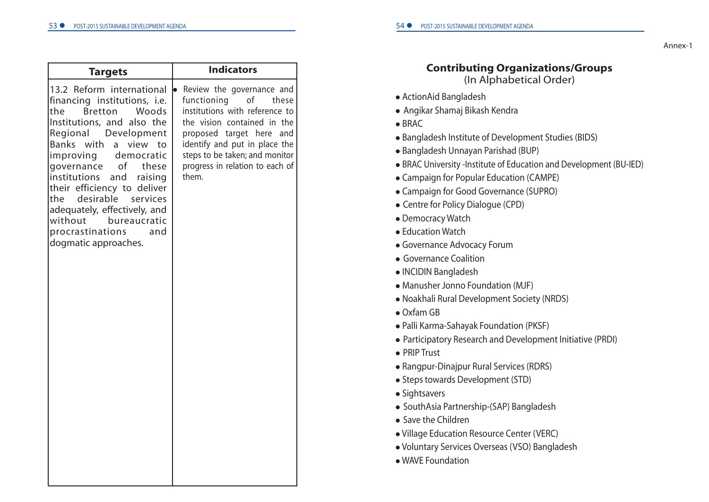Annex-1

### **Contributing Organizations/Groups** (In Alphabetical Order)

- ActionAid Bangladesh
- Angikar Shamaj Bikash Kendra
- $\bullet$  BRAC
- Bangladesh Institute of Development Studies (BIDS)
- Bangladesh Unnayan Parishad (BUP)
- BRAC University -Institute of Education and Development (BU-IED)
- Campaign for Popular Education (CAMPE)
- Campaign for Good Governance (SUPRO)
- Centre for Policy Dialogue (CPD)
- Democracy Watch
- Education Watch
- Governance Advocacy Forum
- **Governance Coalition**
- INCIDIN Bangladesh
- Manusher Jonno Foundation (MJF)
- Noakhali Rural Development Society (NRDS)
- Oxfam GB
- Palli Karma-Sahayak Foundation (PKSF)
- Participatory Research and Development Initiative (PRDI)
- PRIP Trust
- Rangpur-Dinajpur Rural Services (RDRS)
- Steps towards Development (STD)
- Sightsavers
- SouthAsia Partnership-(SAP) Bangladesh
- Save the Children
- Village Education Resource Center (VERC)
- Voluntary Services Overseas (VSO) Bangladesh
- WAVE Foundation